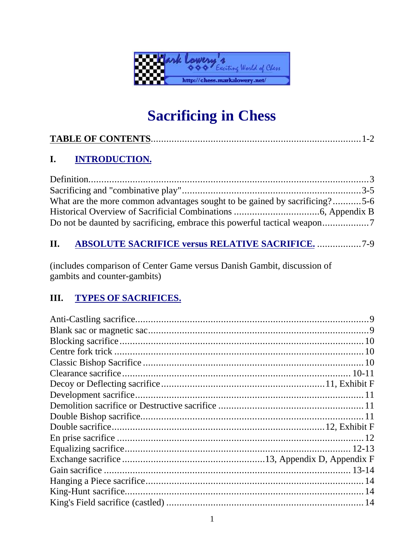

# **Sacrificing in Chess**

|--|

# **I. INTRODUCTION.**

Definition............................................................................................................3 Sacrificing and "combinative play".....................................................................3-5 What are the more common advantages sought to be gained by sacrificing?...........5-6 Historical Overview of Sacrificial Combinations .................................6, Appendix B Do not be daunted by sacrificing, embrace this powerful tactical weapon..................7

# **II. ABSOLUTE SACRIFICE versus RELATIVE SACRIFICE.** .................7-9

(includes comparison of Center Game versus Danish Gambit, discussion of gambits and counter-gambits)

# **III. TYPES OF SACRIFICES.**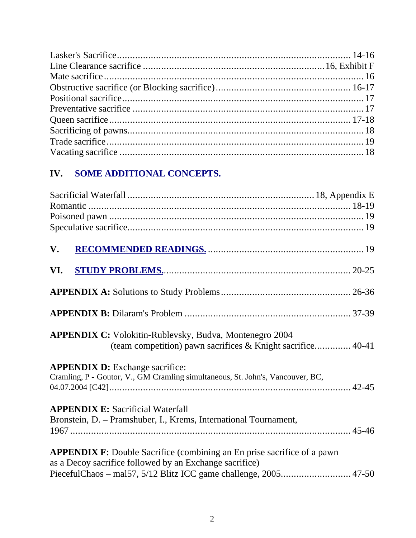# **IV. SOME ADDITIONAL CONCEPTS.**

| V.                                                                                                                            |  |
|-------------------------------------------------------------------------------------------------------------------------------|--|
| VI.                                                                                                                           |  |
|                                                                                                                               |  |
|                                                                                                                               |  |
| <b>APPENDIX C:</b> Volokitin-Rublevsky, Budva, Montenegro 2004<br>(team competition) pawn sacrifices & Knight sacrifice 40-41 |  |
|                                                                                                                               |  |
| <b>APPENDIX D:</b> Exchange sacrifice:                                                                                        |  |
| Cramling, P - Goutor, V., GM Cramling simultaneous, St. John's, Vancouver, BC,                                                |  |
|                                                                                                                               |  |
| <b>APPENDIX E: Sacrificial Waterfall</b>                                                                                      |  |
| Bronstein, D. – Pramshuber, I., Krems, International Tournament,                                                              |  |
|                                                                                                                               |  |
|                                                                                                                               |  |
| <b>APPENDIX F:</b> Double Sacrifice (combining an En prise sacrifice of a pawn                                                |  |
| as a Decoy sacrifice followed by an Exchange sacrifice)                                                                       |  |
|                                                                                                                               |  |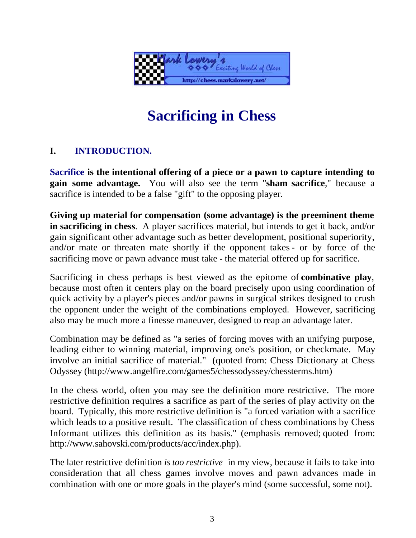

# **Sacrificing in Chess**

# **I. INTRODUCTION.**

**Sacrifice is the intentional offering of a piece or a pawn to capture intending to gain some advantage.** You will also see the term "**sham sacrifice**," because a sacrifice is intended to be a false "gift" to the opposing player.

**Giving up material for compensation (some advantage) is the preeminent theme in sacrificing in chess**. A player sacrifices material, but intends to get it back, and/or gain significant other advantage such as better development, positional superiority, and/or mate or threaten mate shortly if the opponent takes - or by force of the sacrificing move or pawn advance must take - the material offered up for sacrifice.

Sacrificing in chess perhaps is best viewed as the epitome of **combinative play**, because most often it centers play on the board precisely upon using coordination of quick activity by a player's pieces and/or pawns in surgical strikes designed to crush the opponent under the weight of the combinations employed. However, sacrificing also may be much more a finesse maneuver, designed to reap an advantage later.

Combination may be defined as "a series of forcing moves with an unifying purpose, leading either to winning material, improving one's position, or checkmate. May involve an initial sacrifice of material." (quoted from: Chess Dictionary at Chess Odyssey (http://www.angelfire.com/games5/chessodyssey/chessterms.htm)

In the chess world, often you may see the definition more restrictive. The more restrictive definition requires a sacrifice as part of the series of play activity on the board. Typically, this more restrictive definition is "a forced variation with a sacrifice which leads to a positive result. The classification of chess combinations by Chess Informant utilizes this definition as its basis." (emphasis removed; quoted from: http://www.sahovski.com/products/acc/index.php).

The later restrictive definition *is too restrictive* in my view, because it fails to take into consideration that all chess games involve moves and pawn advances made in combination with one or more goals in the player's mind (some successful, some not).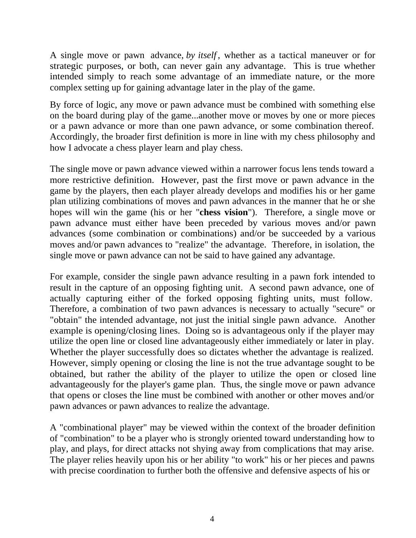A single move or pawn advance, *by itself* , whether as a tactical maneuver or for strategic purposes, or both, can never gain any advantage. This is true whether intended simply to reach some advantage of an immediate nature, or the more complex setting up for gaining advantage later in the play of the game.

By force of logic, any move or pawn advance must be combined with something else on the board during play of the game...another move or moves by one or more pieces or a pawn advance or more than one pawn advance, or some combination thereof. Accordingly, the broader first definition is more in line with my chess philosophy and how I advocate a chess player learn and play chess.

The single move or pawn advance viewed within a narrower focus lens tends toward a more restrictive definition. However, past the first move or pawn advance in the game by the players, then each player already develops and modifies his or her game plan utilizing combinations of moves and pawn advances in the manner that he or she hopes will win the game (his or her "**chess vision**"). Therefore, a single move or pawn advance must either have been preceded by various moves and/or pawn advances (some combination or combinations) and/or be succeeded by a various moves and/or pawn advances to "realize" the advantage. Therefore, in isolation, the single move or pawn advance can not be said to have gained any advantage.

For example, consider the single pawn advance resulting in a pawn fork intended to result in the capture of an opposing fighting unit. A second pawn advance, one of actually capturing either of the forked opposing fighting units, must follow. Therefore, a combination of two pawn advances is necessary to actually "secure" or "obtain" the intended advantage, not just the initial single pawn advance. Another example is opening/closing lines. Doing so is advantageous only if the player may utilize the open line or closed line advantageously either immediately or later in play. Whether the player successfully does so dictates whether the advantage is realized. However, simply opening or closing the line is not the true advantage sought to be obtained, but rather the ability of the player to utilize the open or closed line advantageously for the player's game plan. Thus, the single move or pawn advance that opens or closes the line must be combined with another or other moves and/or pawn advances or pawn advances to realize the advantage.

A "combinational player" may be viewed within the context of the broader definition of "combination" to be a player who is strongly oriented toward understanding how to play, and plays, for direct attacks not shying away from complications that may arise. The player relies heavily upon his or her ability "to work" his or her pieces and pawns with precise coordination to further both the offensive and defensive aspects of his or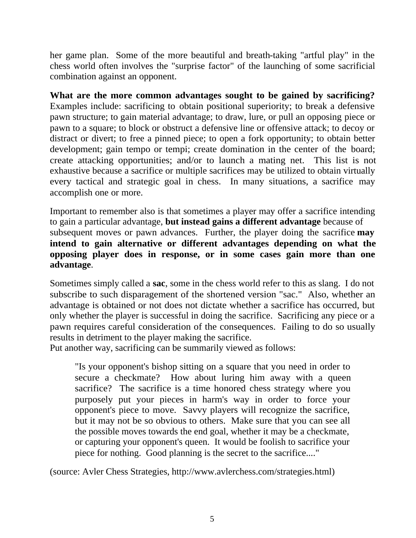her game plan. Some of the more beautiful and breath-taking "artful play" in the chess world often involves the "surprise factor" of the launching of some sacrificial combination against an opponent.

**What are the more common advantages sought to be gained by sacrificing?** Examples include: sacrificing to obtain positional superiority; to break a defensive pawn structure; to gain material advantage; to draw, lure, or pull an opposing piece or pawn to a square; to block or obstruct a defensive line or offensive attack; to decoy or distract or divert; to free a pinned piece; to open a fork opportunity; to obtain better development; gain tempo or tempi; create domination in the center of the board; create attacking opportunities; and/or to launch a mating net. This list is not exhaustive because a sacrifice or multiple sacrifices may be utilized to obtain virtually every tactical and strategic goal in chess. In many situations, a sacrifice may accomplish one or more.

Important to remember also is that sometimes a player may offer a sacrifice intending to gain a particular advantage, **but instead gains a different advantage** because of subsequent moves or pawn advances. Further, the player doing the sacrifice **may intend to gain alternative or different advantages depending on what the opposing player does in response, or in some cases gain more than one advantage**.

Sometimes simply called a **sac**, some in the chess world refer to this as slang. I do not subscribe to such disparagement of the shortened version "sac." Also, whether an advantage is obtained or not does not dictate whether a sacrifice has occurred, but only whether the player is successful in doing the sacrifice. Sacrificing any piece or a pawn requires careful consideration of the consequences. Failing to do so usually results in detriment to the player making the sacrifice.

Put another way, sacrificing can be summarily viewed as follows:

"Is your opponent's bishop sitting on a square that you need in order to secure a checkmate? How about luring him away with a queen sacrifice? The sacrifice is a time honored chess strategy where you purposely put your pieces in harm's way in order to force your opponent's piece to move. Savvy players will recognize the sacrifice, but it may not be so obvious to others. Make sure that you can see all the possible moves towards the end goal, whether it may be a checkmate, or capturing your opponent's queen. It would be foolish to sacrifice your piece for nothing. Good planning is the secret to the sacrifice...."

(source: Avler Chess Strategies, http://www.avlerchess.com/strategies.html)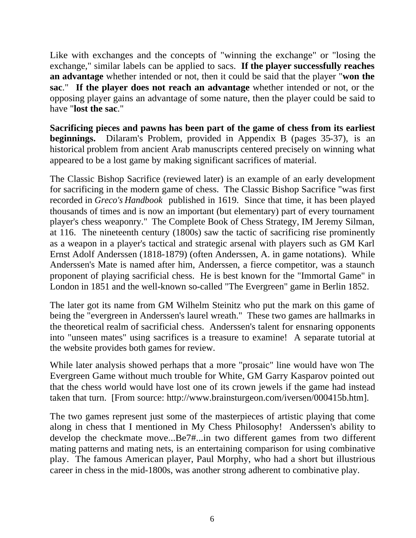Like with exchanges and the concepts of "winning the exchange" or "losing the exchange," similar labels can be applied to sacs. **If the player successfully reaches an advantage** whether intended or not, then it could be said that the player "**won the sac**." **If the player does not reach an advantage** whether intended or not, or the opposing player gains an advantage of some nature, then the player could be said to have "**lost the sac**."

**Sacrificing pieces and pawns has been part of the game of chess from its earliest beginnings.** Dilaram's Problem, provided in Appendix B (pages 35-37), is an historical problem from ancient Arab manuscripts centered precisely on winning what appeared to be a lost game by making significant sacrifices of material.

The Classic Bishop Sacrifice (reviewed later) is an example of an early development for sacrificing in the modern game of chess. The Classic Bishop Sacrifice "was first recorded in *Greco's Handbook* published in 1619. Since that time, it has been played thousands of times and is now an important (but elementary) part of every tournament player's chess weaponry." The Complete Book of Chess Strategy, IM Jeremy Silman, at 116. The nineteenth century (1800s) saw the tactic of sacrificing rise prominently as a weapon in a player's tactical and strategic arsenal with players such as GM Karl Ernst Adolf Anderssen (1818-1879) (often Anderssen, A. in game notations). While Anderssen's Mate is named after him, Anderssen, a fierce competitor, was a staunch proponent of playing sacrificial chess. He is best known for the "Immortal Game" in London in 1851 and the well-known so-called "The Evergreen" game in Berlin 1852.

The later got its name from GM Wilhelm Steinitz who put the mark on this game of being the "evergreen in Anderssen's laurel wreath." These two games are hallmarks in the theoretical realm of sacrificial chess. Anderssen's talent for ensnaring opponents into "unseen mates" using sacrifices is a treasure to examine! A separate tutorial at the website provides both games for review.

While later analysis showed perhaps that a more "prosaic" line would have won The Evergreen Game without much trouble for White, GM Garry Kasparov pointed out that the chess world would have lost one of its crown jewels if the game had instead taken that turn. [From source: http://www.brainsturgeon.com/iversen/000415b.htm].

The two games represent just some of the masterpieces of artistic playing that come along in chess that I mentioned in My Chess Philosophy! Anderssen's ability to develop the checkmate move...Be7#...in two different games from two different mating patterns and mating nets, is an entertaining comparison for using combinative play. The famous American player, Paul Morphy, who had a short but illustrious career in chess in the mid-1800s, was another strong adherent to combinative play.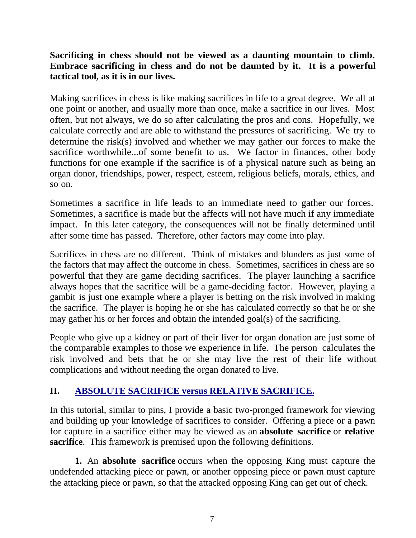# **Sacrificing in chess should not be viewed as a daunting mountain to climb. Embrace sacrificing in chess and do not be daunted by it. It is a powerful tactical tool, as it is in our lives.**

Making sacrifices in chess is like making sacrifices in life to a great degree. We all at one point or another, and usually more than once, make a sacrifice in our lives. Most often, but not always, we do so after calculating the pros and cons. Hopefully, we calculate correctly and are able to withstand the pressures of sacrificing. We try to determine the risk(s) involved and whether we may gather our forces to make the sacrifice worthwhile...of some benefit to us. We factor in finances, other body functions for one example if the sacrifice is of a physical nature such as being an organ donor, friendships, power, respect, esteem, religious beliefs, morals, ethics, and so on.

Sometimes a sacrifice in life leads to an immediate need to gather our forces. Sometimes, a sacrifice is made but the affects will not have much if any immediate impact. In this later category, the consequences will not be finally determined until after some time has passed. Therefore, other factors may come into play.

Sacrifices in chess are no different. Think of mistakes and blunders as just some of the factors that may affect the outcome in chess. Sometimes, sacrifices in chess are so powerful that they are game deciding sacrifices. The player launching a sacrifice always hopes that the sacrifice will be a game-deciding factor. However, playing a gambit is just one example where a player is betting on the risk involved in making the sacrifice. The player is hoping he or she has calculated correctly so that he or she may gather his or her forces and obtain the intended goal(s) of the sacrificing.

People who give up a kidney or part of their liver for organ donation are just some of the comparable examples to those we experience in life. The person calculates the risk involved and bets that he or she may live the rest of their life without complications and without needing the organ donated to live.

# **II. ABSOLUTE SACRIFICE versus RELATIVE SACRIFICE.**

In this tutorial, similar to pins, I provide a basic two-pronged framework for viewing and building up your knowledge of sacrifices to consider. Offering a piece or a pawn for capture in a sacrifice either may be viewed as an **absolute sacrifice** or **relative sacrifice**. This framework is premised upon the following definitions.

**1.** An **absolute sacrifice** occurs when the opposing King must capture the undefended attacking piece or pawn, or another opposing piece or pawn must capture the attacking piece or pawn, so that the attacked opposing King can get out of check.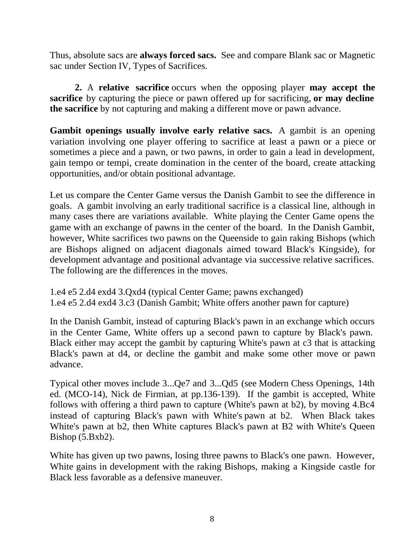Thus, absolute sacs are **always forced sacs.** See and compare Blank sac or Magnetic sac under Section IV, Types of Sacrifices.

**2.** A **relative sacrifice** occurs when the opposing player **may accept the sacrifice** by capturing the piece or pawn offered up for sacrificing, **or may decline the sacrifice** by not capturing and making a different move or pawn advance.

**Gambit openings usually involve early relative sacs.** A gambit is an opening variation involving one player offering to sacrifice at least a pawn or a piece or sometimes a piece and a pawn, or two pawns, in order to gain a lead in development, gain tempo or tempi, create domination in the center of the board, create attacking opportunities, and/or obtain positional advantage.

Let us compare the Center Game versus the Danish Gambit to see the difference in goals. A gambit involving an early traditional sacrifice is a classical line, although in many cases there are variations available. White playing the Center Game opens the game with an exchange of pawns in the center of the board. In the Danish Gambit, however, White sacrifices two pawns on the Queenside to gain raking Bishops (which are Bishops aligned on adjacent diagonals aimed toward Black's Kingside), for development advantage and positional advantage via successive relative sacrifices. The following are the differences in the moves.

1.e4 e5 2.d4 exd4 3.Qxd4 (typical Center Game; pawns exchanged) 1.e4 e5 2.d4 exd4 3.c3 (Danish Gambit; White offers another pawn for capture)

In the Danish Gambit, instead of capturing Black's pawn in an exchange which occurs in the Center Game, White offers up a second pawn to capture by Black's pawn. Black either may accept the gambit by capturing White's pawn at c3 that is attacking Black's pawn at d4, or decline the gambit and make some other move or pawn advance.

Typical other moves include 3...Qe7 and 3...Qd5 (see Modern Chess Openings, 14th ed. (MCO-14), Nick de Firmian, at pp.136-139). If the gambit is accepted, White follows with offering a third pawn to capture (White's pawn at b2), by moving 4.Bc4 instead of capturing Black's pawn with White's pawn at b2. When Black takes White's pawn at b2, then White captures Black's pawn at B2 with White's Queen  $Bishop (5.Bxb2).$ 

White has given up two pawns, losing three pawns to Black's one pawn. However, White gains in development with the raking Bishops, making a Kingside castle for Black less favorable as a defensive maneuver.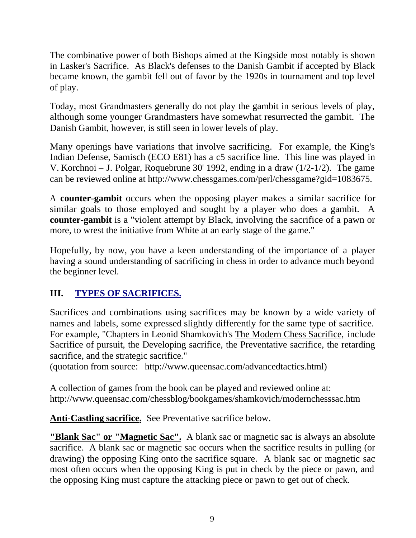The combinative power of both Bishops aimed at the Kingside most notably is shown in Lasker's Sacrifice. As Black's defenses to the Danish Gambit if accepted by Black became known, the gambit fell out of favor by the 1920s in tournament and top level of play.

Today, most Grandmasters generally do not play the gambit in serious levels of play, although some younger Grandmasters have somewhat resurrected the gambit. The Danish Gambit, however, is still seen in lower levels of play.

Many openings have variations that involve sacrificing. For example, the King's Indian Defense, Samisch (ECO E81) has a c5 sacrifice line. This line was played in V. Korchnoi – J. Polgar, Roquebrune 30' 1992, ending in a draw (1/2-1/2). The game can be reviewed online at http://www.chessgames.com/perl/chessgame?gid=1083675.

A **counter-gambit** occurs when the opposing player makes a similar sacrifice for similar goals to those employed and sought by a player who does a gambit. A **counter-gambit** is a "violent attempt by Black, involving the sacrifice of a pawn or more, to wrest the initiative from White at an early stage of the game."

Hopefully, by now, you have a keen understanding of the importance of a player having a sound understanding of sacrificing in chess in order to advance much beyond the beginner level.

# **III. TYPES OF SACRIFICES.**

Sacrifices and combinations using sacrifices may be known by a wide variety of names and labels, some expressed slightly differently for the same type of sacrifice. For example, "Chapters in Leonid Shamkovich's The Modern Chess Sacrifice, include Sacrifice of pursuit, the Developing sacrifice, the Preventative sacrifice, the retarding sacrifice, and the strategic sacrifice."

(quotation from source: http://www.queensac.com/advancedtactics.html)

A collection of games from the book can be played and reviewed online at: http://www.queensac.com/chessblog/bookgames/shamkovich/modernchesssac.htm

**Anti-Castling sacrifice.** See Preventative sacrifice below.

**"Blank Sac" or "Magnetic Sac".** A blank sac or magnetic sac is always an absolute sacrifice. A blank sac or magnetic sac occurs when the sacrifice results in pulling (or drawing) the opposing King onto the sacrifice square. A blank sac or magnetic sac most often occurs when the opposing King is put in check by the piece or pawn, and the opposing King must capture the attacking piece or pawn to get out of check.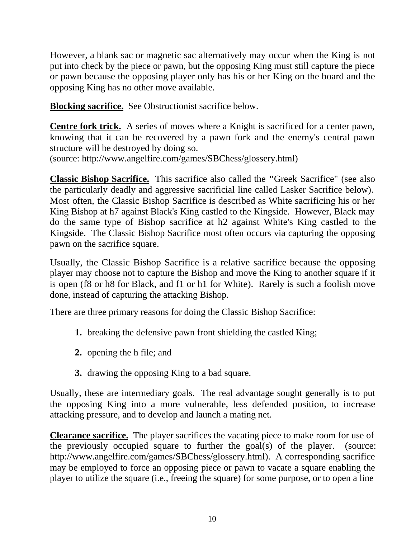However, a blank sac or magnetic sac alternatively may occur when the King is not put into check by the piece or pawn, but the opposing King must still capture the piece or pawn because the opposing player only has his or her King on the board and the opposing King has no other move available.

**Blocking sacrifice.** See Obstructionist sacrifice below.

**Centre fork trick.** A series of moves where a Knight is sacrificed for a center pawn, knowing that it can be recovered by a pawn fork and the enemy's central pawn structure will be destroyed by doing so.

(source: http://www.angelfire.com/games/SBChess/glossery.html)

**Classic Bishop Sacrifice.** This sacrifice also called the **"**Greek Sacrifice" (see also the particularly deadly and aggressive sacrificial line called Lasker Sacrifice below). Most often, the Classic Bishop Sacrifice is described as White sacrificing his or her King Bishop at h7 against Black's King castled to the Kingside. However, Black may do the same type of Bishop sacrifice at h2 against White's King castled to the Kingside. The Classic Bishop Sacrifice most often occurs via capturing the opposing pawn on the sacrifice square.

Usually, the Classic Bishop Sacrifice is a relative sacrifice because the opposing player may choose not to capture the Bishop and move the King to another square if it is open (f8 or h8 for Black, and f1 or h1 for White). Rarely is such a foolish move done, instead of capturing the attacking Bishop.

There are three primary reasons for doing the Classic Bishop Sacrifice:

- **1.** breaking the defensive pawn front shielding the castled King;
- **2.** opening the h file; and
- **3.** drawing the opposing King to a bad square.

Usually, these are intermediary goals. The real advantage sought generally is to put the opposing King into a more vulnerable, less defended position, to increase attacking pressure, and to develop and launch a mating net.

**Clearance sacrifice.** The player sacrifices the vacating piece to make room for use of the previously occupied square to further the goal(s) of the player. (source: http://www.angelfire.com/games/SBChess/glossery.html). A corresponding sacrifice may be employed to force an opposing piece or pawn to vacate a square enabling the player to utilize the square (i.e., freeing the square) for some purpose, or to open a line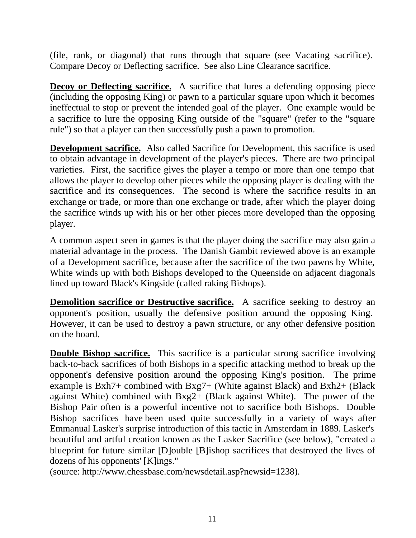(file, rank, or diagonal) that runs through that square (see Vacating sacrifice). Compare Decoy or Deflecting sacrifice. See also Line Clearance sacrifice.

**Decoy or Deflecting sacrifice.** A sacrifice that lures a defending opposing piece (including the opposing King) or pawn to a particular square upon which it becomes ineffectual to stop or prevent the intended goal of the player. One example would be a sacrifice to lure the opposing King outside of the "square" (refer to the "square rule") so that a player can then successfully push a pawn to promotion.

**Development sacrifice.** Also called Sacrifice for Development, this sacrifice is used to obtain advantage in development of the player's pieces. There are two principal varieties. First, the sacrifice gives the player a tempo or more than one tempo that allows the player to develop other pieces while the opposing player is dealing with the sacrifice and its consequences. The second is where the sacrifice results in an exchange or trade, or more than one exchange or trade, after which the player doing the sacrifice winds up with his or her other pieces more developed than the opposing player.

A common aspect seen in games is that the player doing the sacrifice may also gain a material advantage in the process. The Danish Gambit reviewed above is an example of a Development sacrifice, because after the sacrifice of the two pawns by White, White winds up with both Bishops developed to the Queenside on adjacent diagonals lined up toward Black's Kingside (called raking Bishops).

**Demolition sacrifice or Destructive sacrifice.** A sacrifice seeking to destroy an opponent's position, usually the defensive position around the opposing King. However, it can be used to destroy a pawn structure, or any other defensive position on the board.

**Double Bishop sacrifice.** This sacrifice is a particular strong sacrifice involving back-to-back sacrifices of both Bishops in a specific attacking method to break up the opponent's defensive position around the opposing King's position. The prime example is Bxh7+ combined with Bxg7+ (White against Black) and Bxh2+ (Black against White) combined with Bxg2+ (Black against White). The power of the Bishop Pair often is a powerful incentive not to sacrifice both Bishops. Double Bishop sacrifices have been used quite successfully in a variety of ways after Emmanual Lasker's surprise introduction of this tactic in Amsterdam in 1889. Lasker's beautiful and artful creation known as the Lasker Sacrifice (see below), "created a blueprint for future similar [D]ouble [B]ishop sacrifices that destroyed the lives of dozens of his opponents' [K]ings."

(source: http://www.chessbase.com/newsdetail.asp?newsid=1238).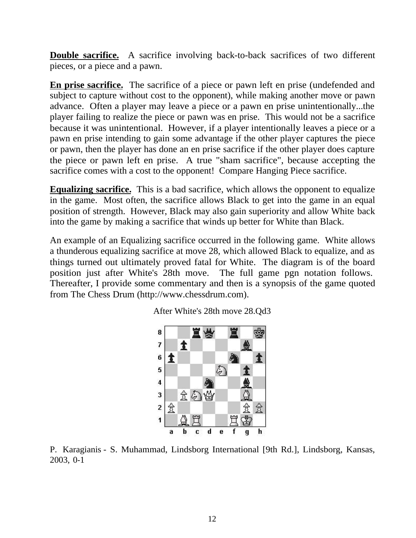**Double sacrifice.** A sacrifice involving back-to-back sacrifices of two different pieces, or a piece and a pawn.

**En prise sacrifice.** The sacrifice of a piece or pawn left en prise (undefended and subject to capture without cost to the opponent), while making another move or pawn advance. Often a player may leave a piece or a pawn en prise unintentionally...the player failing to realize the piece or pawn was en prise. This would not be a sacrifice because it was unintentional. However, if a player intentionally leaves a piece or a pawn en prise intending to gain some advantage if the other player captures the piece or pawn, then the player has done an en prise sacrifice if the other player does capture the piece or pawn left en prise. A true "sham sacrifice", because accepting the sacrifice comes with a cost to the opponent! Compare Hanging Piece sacrifice.

**Equalizing sacrifice.** This is a bad sacrifice, which allows the opponent to equalize in the game. Most often, the sacrifice allows Black to get into the game in an equal position of strength. However, Black may also gain superiority and allow White back into the game by making a sacrifice that winds up better for White than Black.

An example of an Equalizing sacrifice occurred in the following game. White allows a thunderous equalizing sacrifice at move 28, which allowed Black to equalize, and as things turned out ultimately proved fatal for White. The diagram is of the board position just after White's 28th move. The full game pgn notation follows. Thereafter, I provide some commentary and then is a synopsis of the game quoted from The Chess Drum (http://www.chessdrum.com).

After White's 28th move 28.Qd3



P. Karagianis - S. Muhammad, Lindsborg International [9th Rd.], Lindsborg, Kansas, 2003, 0-1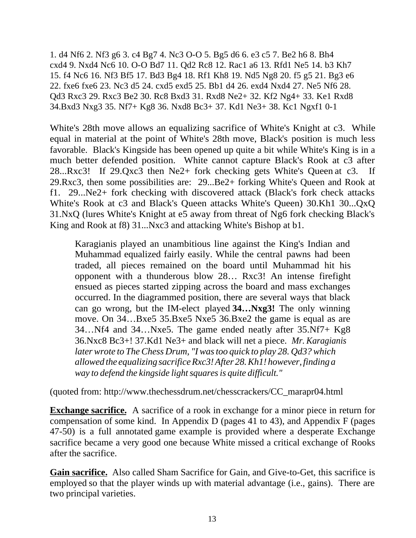1. d4 Nf6 2. Nf3 g6 3. c4 Bg7 4. Nc3 O-O 5. Bg5 d6 6. e3 c5 7. Be2 h6 8. Bh4 cxd4 9. Nxd4 Nc6 10. O-O Bd7 11. Qd2 Rc8 12. Rac1 a6 13. Rfd1 Ne5 14. b3 Kh7 15. f4 Nc6 16. Nf3 Bf5 17. Bd3 Bg4 18. Rf1 Kh8 19. Nd5 Ng8 20. f5 g5 21. Bg3 e6 22. fxe6 fxe6 23. Nc3 d5 24. cxd5 exd5 25. Bb1 d4 26. exd4 Nxd4 27. Ne5 Nf6 28. Qd3 Rxc3 29. Rxc3 Be2 30. Rc8 Bxd3 31. Rxd8 Ne2+ 32. Kf2 Ng4+ 33. Ke1 Rxd8 34.Bxd3 Nxg3 35. Nf7+ Kg8 36. Nxd8 Bc3+ 37. Kd1 Ne3+ 38. Kc1 Ngxf1 0-1

White's 28th move allows an equalizing sacrifice of White's Knight at c3. While equal in material at the point of White's 28th move, Black's position is much less favorable. Black's Kingside has been opened up quite a bit while White's King is in a much better defended position. White cannot capture Black's Rook at c3 after 28...Rxc3! If 29.Qxc3 then Ne2+ fork checking gets White's Queen at c3. If 29.Rxc3, then some possibilities are: 29...Be2+ forking White's Queen and Rook at f1. 29...Ne2+ fork checking with discovered attack (Black's fork check attacks White's Rook at c3 and Black's Queen attacks White's Queen) 30.Kh1 30...QxQ 31.NxQ (lures White's Knight at e5 away from threat of Ng6 fork checking Black's King and Rook at f8) 31...Nxc3 and attacking White's Bishop at b1.

Karagianis played an unambitious line against the King's Indian and Muhammad equalized fairly easily. While the central pawns had been traded, all pieces remained on the board until Muhammad hit his opponent with a thunderous blow 28… Rxc3! An intense firefight ensued as pieces started zipping across the board and mass exchanges occurred. In the diagrammed position, there are several ways that black can go wrong, but the IM-elect played **34…Nxg3!** The only winning move. On 34...Bxe5 35.Bxe5 Nxe5 36.Bxe2 the game is equal as are 34…Nf4 and 34…Nxe5. The game ended neatly after 35.Nf7+ Kg8 36.Nxc8 Bc3+! 37.Kd1 Ne3+ and black will net a piece. *Mr. Karagianis later wrote to The Chess Drum, "I was too quick to play 28. Qd3? which allowed the equalizing sacrifice Rxc3! After 28. Kh1! however, finding a way to defend the kingside light squares is quite difficult."*

(quoted from: http://www.thechessdrum.net/chesscrackers/CC\_marapr04.html

**Exchange sacrifice.** A sacrifice of a rook in exchange for a minor piece in return for compensation of some kind. In Appendix D (pages 41 to 43), and Appendix F (pages 47-50) is a full annotated game example is provided where a desperate Exchange sacrifice became a very good one because White missed a critical exchange of Rooks after the sacrifice.

**Gain sacrifice.** Also called Sham Sacrifice for Gain, and Give-to-Get, this sacrifice is employed so that the player winds up with material advantage (i.e., gains). There are two principal varieties.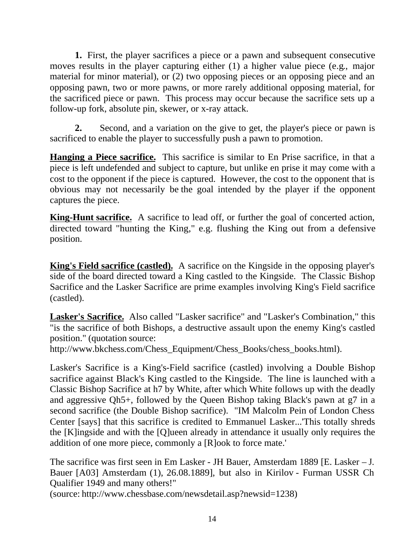**1.** First, the player sacrifices a piece or a pawn and subsequent consecutive moves results in the player capturing either (1) a higher value piece (e.g., major material for minor material), or (2) two opposing pieces or an opposing piece and an opposing pawn, two or more pawns, or more rarely additional opposing material, for the sacrificed piece or pawn. This process may occur because the sacrifice sets up a follow-up fork, absolute pin, skewer, or x-ray attack.

**2.** Second, and a variation on the give to get, the player's piece or pawn is sacrificed to enable the player to successfully push a pawn to promotion.

**Hanging a Piece sacrifice.** This sacrifice is similar to En Prise sacrifice, in that a piece is left undefended and subject to capture, but unlike en prise it may come with a cost to the opponent if the piece is captured. However, the cost to the opponent that is obvious may not necessarily be the goal intended by the player if the opponent captures the piece.

**King-Hunt sacrifice.** A sacrifice to lead off, or further the goal of concerted action, directed toward "hunting the King," e.g. flushing the King out from a defensive position.

**King's Field sacrifice (castled).** A sacrifice on the Kingside in the opposing player's side of the board directed toward a King castled to the Kingside. The Classic Bishop Sacrifice and the Lasker Sacrifice are prime examples involving King's Field sacrifice (castled).

**Lasker's Sacrifice.** Also called "Lasker sacrifice" and "Lasker's Combination," this "is the sacrifice of both Bishops, a destructive assault upon the enemy King's castled position." (quotation source:

http://www.bkchess.com/Chess\_Equipment/Chess\_Books/chess\_books.html).

Lasker's Sacrifice is a King's-Field sacrifice (castled) involving a Double Bishop sacrifice against Black's King castled to the Kingside. The line is launched with a Classic Bishop Sacrifice at h7 by White, after which White follows up with the deadly and aggressive Qh5+, followed by the Queen Bishop taking Black's pawn at g7 in a second sacrifice (the Double Bishop sacrifice). "IM Malcolm Pein of London Chess Center [says] that this sacrifice is credited to Emmanuel Lasker...'This totally shreds the [K]ingside and with the [Q]ueen already in attendance it usually only requires the addition of one more piece, commonly a [R]ook to force mate.'

The sacrifice was first seen in Em Lasker - JH Bauer, Amsterdam 1889 [E. Lasker – J. Bauer [A03] Amsterdam (1), 26.08.1889], but also in Kirilov - Furman USSR Ch Qualifier 1949 and many others!"

(source: http://www.chessbase.com/newsdetail.asp?newsid=1238)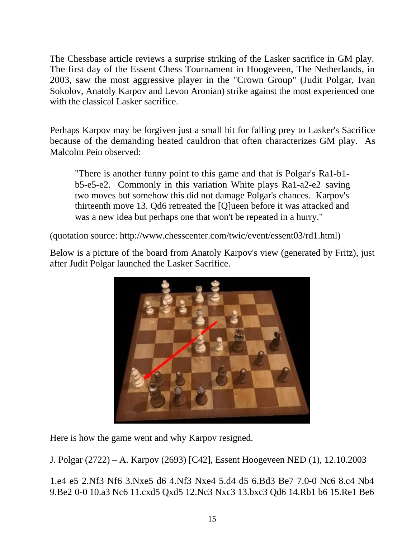The Chessbase article reviews a surprise striking of the Lasker sacrifice in GM play. The first day of the Essent Chess Tournament in Hoogeveen, The Netherlands, in 2003, saw the most aggressive player in the "Crown Group" (Judit Polgar, Ivan Sokolov, Anatoly Karpov and Levon Aronian) strike against the most experienced one with the classical Lasker sacrifice.

Perhaps Karpov may be forgiven just a small bit for falling prey to Lasker's Sacrifice because of the demanding heated cauldron that often characterizes GM play. As Malcolm Pein observed:

"There is another funny point to this game and that is Polgar's Ra1-b1 b5-e5-e2. Commonly in this variation White plays Ra1-a2-e2 saving two moves but somehow this did not damage Polgar's chances. Karpov's thirteenth move 13. Qd6 retreated the [Q]ueen before it was attacked and was a new idea but perhaps one that won't be repeated in a hurry."

(quotation source: http://www.chesscenter.com/twic/event/essent03/rd1.html)

Below is a picture of the board from Anatoly Karpov's view (generated by Fritz), just after Judit Polgar launched the Lasker Sacrifice.



Here is how the game went and why Karpov resigned.

J. Polgar (2722) – A. Karpov (2693) [C42], Essent Hoogeveen NED (1), 12.10.2003

1.e4 e5 2.Nf3 Nf6 3.Nxe5 d6 4.Nf3 Nxe4 5.d4 d5 6.Bd3 Be7 7.0-0 Nc6 8.c4 Nb4 9.Be2 0-0 10.a3 Nc6 11.cxd5 Qxd5 12.Nc3 Nxc3 13.bxc3 Qd6 14.Rb1 b6 15.Re1 Be6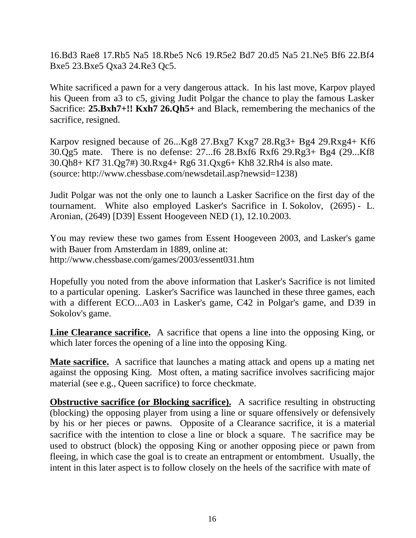16.Bd3 Rae8 17.Rb5 Na5 18.Rbe5 Nc6 19.R5e2 Bd7 20.d5 Na5 21.Ne5 Bf6 22.Bf4 Bxe5 23.Bxe5 Qxa3 24.Re3 Qc5.

White sacrificed a pawn for a very dangerous attack. In his last move, Karpov played his Queen from a3 to c5, giving Judit Polgar the chance to play the famous Lasker Sacrifice: **25.Bxh7+!! Kxh7 26.Qh5+** and Black, remembering the mechanics of the sacrifice, resigned.

Karpov resigned because of 26...Kg8 27.Bxg7 Kxg7 28.Rg3+ Bg4 29.Rxg4+ Kf6 30.Qg5 mate. There is no defense: 27...f6 28.Bxf6 Rxf6 29.Rg3+ Bg4 (29...Kf8 30.Qh8+ Kf7 31.Qg7#) 30.Rxg4+ Rg6 31.Qxg6+ Kh8 32.Rh4 is also mate. (source: http://www.chessbase.com/newsdetail.asp?newsid=1238)

Judit Polgar was not the only one to launch a Lasker Sacrifice on the first day of the tournament. White also employed Lasker's Sacrifice in I. Sokolov, (2695) - L. Aronian, (2649) [D39] Essent Hoogeveen NED (1), 12.10.2003.

You may review these two games from Essent Hoogeveen 2003, and Lasker's game with Bauer from Amsterdam in 1889, online at: http://www.chessbase.com/games/2003/essent031.htm

Hopefully you noted from the above information that Lasker's Sacrifice is not limited to a particular opening. Lasker's Sacrifice was launched in these three games, each with a different ECO...A03 in Lasker's game, C42 in Polgar's game, and D39 in Sokolov's game.

**Line Clearance sacrifice.** A sacrifice that opens a line into the opposing King, or which later forces the opening of a line into the opposing King.

**Mate sacrifice.** A sacrifice that launches a mating attack and opens up a mating net against the opposing King. Most often, a mating sacrifice involves sacrificing major material (see e.g., Queen sacrifice) to force checkmate.

**Obstructive sacrifice (or Blocking sacrifice).** A sacrifice resulting in obstructing (blocking) the opposing player from using a line or square offensively or defensively by his or her pieces or pawns. Opposite of a Clearance sacrifice, it is a material sacrifice with the intention to close a line or block a square. The sacrifice may be used to obstruct (block) the opposing King or another opposing piece or pawn from fleeing, in which case the goal is to create an entrapment or entombment. Usually, the intent in this later aspect is to follow closely on the heels of the sacrifice with mate of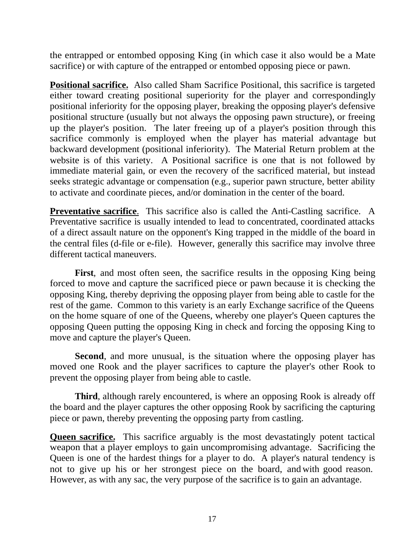the entrapped or entombed opposing King (in which case it also would be a Mate sacrifice) or with capture of the entrapped or entombed opposing piece or pawn.

**Positional sacrifice.** Also called Sham Sacrifice Positional, this sacrifice is targeted either toward creating positional superiority for the player and correspondingly positional inferiority for the opposing player, breaking the opposing player's defensive positional structure (usually but not always the opposing pawn structure), or freeing up the player's position. The later freeing up of a player's position through this sacrifice commonly is employed when the player has material advantage but backward development (positional inferiority). The Material Return problem at the website is of this variety. A Positional sacrifice is one that is not followed by immediate material gain, or even the recovery of the sacrificed material, but instead seeks strategic advantage or compensation (e.g., superior pawn structure, better ability to activate and coordinate pieces, and/or domination in the center of the board.

**Preventative sacrifice.** This sacrifice also is called the Anti-Castling sacrifice. A Preventative sacrifice is usually intended to lead to concentrated, coordinated attacks of a direct assault nature on the opponent's King trapped in the middle of the board in the central files (d-file or e-file). However, generally this sacrifice may involve three different tactical maneuvers.

**First**, and most often seen, the sacrifice results in the opposing King being forced to move and capture the sacrificed piece or pawn because it is checking the opposing King, thereby depriving the opposing player from being able to castle for the rest of the game. Common to this variety is an early Exchange sacrifice of the Queens on the home square of one of the Queens, whereby one player's Queen captures the opposing Queen putting the opposing King in check and forcing the opposing King to move and capture the player's Queen.

**Second**, and more unusual, is the situation where the opposing player has moved one Rook and the player sacrifices to capture the player's other Rook to prevent the opposing player from being able to castle.

**Third**, although rarely encountered, is where an opposing Rook is already off the board and the player captures the other opposing Rook by sacrificing the capturing piece or pawn, thereby preventing the opposing party from castling.

**Queen sacrifice.** This sacrifice arguably is the most devastatingly potent tactical weapon that a player employs to gain uncompromising advantage. Sacrificing the Queen is one of the hardest things for a player to do. A player's natural tendency is not to give up his or her strongest piece on the board, and with good reason. However, as with any sac, the very purpose of the sacrifice is to gain an advantage.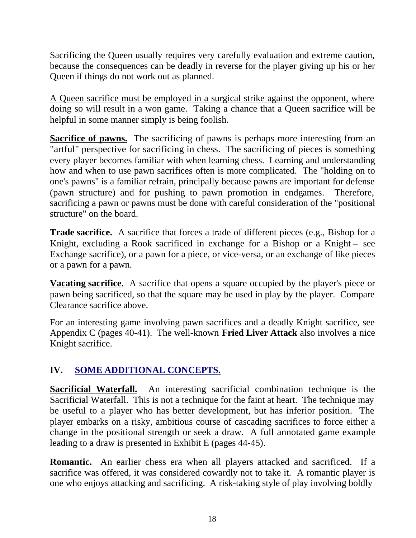Sacrificing the Queen usually requires very carefully evaluation and extreme caution, because the consequences can be deadly in reverse for the player giving up his or her Queen if things do not work out as planned.

A Queen sacrifice must be employed in a surgical strike against the opponent, where doing so will result in a won game. Taking a chance that a Queen sacrifice will be helpful in some manner simply is being foolish.

**Sacrifice of pawns.** The sacrificing of pawns is perhaps more interesting from an "artful" perspective for sacrificing in chess. The sacrificing of pieces is something every player becomes familiar with when learning chess. Learning and understanding how and when to use pawn sacrifices often is more complicated. The "holding on to one's pawns" is a familiar refrain, principally because pawns are important for defense (pawn structure) and for pushing to pawn promotion in endgames. Therefore, sacrificing a pawn or pawns must be done with careful consideration of the "positional structure" on the board.

**Trade sacrifice.** A sacrifice that forces a trade of different pieces (e.g., Bishop for a Knight, excluding a Rook sacrificed in exchange for a Bishop or a Knight – see Exchange sacrifice), or a pawn for a piece, or vice-versa, or an exchange of like pieces or a pawn for a pawn.

**Vacating sacrifice.** A sacrifice that opens a square occupied by the player's piece or pawn being sacrificed, so that the square may be used in play by the player. Compare Clearance sacrifice above.

For an interesting game involving pawn sacrifices and a deadly Knight sacrifice, see Appendix C (pages 40-41). The well-known **Fried Liver Attack** also involves a nice Knight sacrifice.

# **IV. SOME ADDITIONAL CONCEPTS.**

**Sacrificial Waterfall.** An interesting sacrificial combination technique is the Sacrificial Waterfall. This is not a technique for the faint at heart. The technique may be useful to a player who has better development, but has inferior position. The player embarks on a risky, ambitious course of cascading sacrifices to force either a change in the positional strength or seek a draw. A full annotated game example leading to a draw is presented in Exhibit E (pages 44-45).

**Romantic.** An earlier chess era when all players attacked and sacrificed. If a sacrifice was offered, it was considered cowardly not to take it. A romantic player is one who enjoys attacking and sacrificing. A risk-taking style of play involving boldly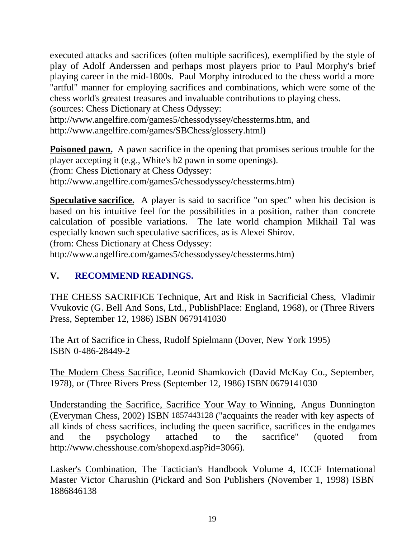executed attacks and sacrifices (often multiple sacrifices), exemplified by the style of play of Adolf Anderssen and perhaps most players prior to Paul Morphy's brief playing career in the mid-1800s. Paul Morphy introduced to the chess world a more "artful" manner for employing sacrifices and combinations, which were some of the chess world's greatest treasures and invaluable contributions to playing chess. (sources: Chess Dictionary at Chess Odyssey:

http://www.angelfire.com/games5/chessodyssey/chessterms.htm, and http://www.angelfire.com/games/SBChess/glossery.html)

**Poisoned pawn.** A pawn sacrifice in the opening that promises serious trouble for the player accepting it (e.g., White's b2 pawn in some openings). (from: Chess Dictionary at Chess Odyssey: http://www.angelfire.com/games5/chessodyssey/chessterms.htm)

**Speculative sacrifice.** A player is said to sacrifice "on spec" when his decision is based on his intuitive feel for the possibilities in a position, rather than concrete calculation of possible variations. The late world champion Mikhail Tal was especially known such speculative sacrifices, as is Alexei Shirov.

(from: Chess Dictionary at Chess Odyssey:

http://www.angelfire.com/games5/chessodyssey/chessterms.htm)

# **V. RECOMMEND READINGS.**

THE CHESS SACRIFICE Technique, Art and Risk in Sacrificial Chess, Vladimir Vvukovic (G. Bell And Sons, Ltd., PublishPlace: England, 1968), or (Three Rivers Press, September 12, 1986) ISBN 0679141030

The Art of Sacrifice in Chess, Rudolf Spielmann (Dover, New York 1995) ISBN 0-486-28449-2

The Modern Chess Sacrifice, Leonid Shamkovich (David McKay Co., September, 1978), or (Three Rivers Press (September 12, 1986) ISBN 0679141030

Understanding the Sacrifice, Sacrifice Your Way to Winning, Angus Dunnington (Everyman Chess, 2002) ISBN 1857443128 ("acquaints the reader with key aspects of all kinds of chess sacrifices, including the queen sacrifice, sacrifices in the endgames and the psychology attached to the sacrifice" (quoted from http://www.chesshouse.com/shopexd.asp?id=3066).

Lasker's Combination, The Tactician's Handbook Volume 4, ICCF International Master Victor Charushin (Pickard and Son Publishers (November 1, 1998) ISBN 1886846138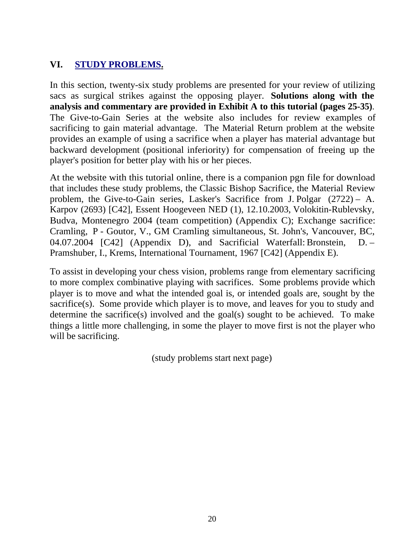# **VI. STUDY PROBLEMS.**

In this section, twenty-six study problems are presented for your review of utilizing sacs as surgical strikes against the opposing player. **Solutions along with the analysis and commentary are provided in Exhibit A to this tutorial (pages 25-35)**. The Give-to-Gain Series at the website also includes for review examples of sacrificing to gain material advantage. The Material Return problem at the website provides an example of using a sacrifice when a player has material advantage but backward development (positional inferiority) for compensation of freeing up the player's position for better play with his or her pieces.

At the website with this tutorial online, there is a companion pgn file for download that includes these study problems, the Classic Bishop Sacrifice, the Material Review problem, the Give-to-Gain series, Lasker's Sacrifice from J. Polgar (2722) – A. Karpov (2693) [C42], Essent Hoogeveen NED (1), 12.10.2003, Volokitin-Rublevsky, Budva, Montenegro 2004 (team competition) (Appendix C); Exchange sacrifice: Cramling, P - Goutor, V., GM Cramling simultaneous, St. John's, Vancouver, BC, 04.07.2004 [C42] (Appendix D), and Sacrificial Waterfall: Bronstein, D. – Pramshuber, I., Krems, International Tournament, 1967 [C42] (Appendix E).

To assist in developing your chess vision, problems range from elementary sacrificing to more complex combinative playing with sacrifices. Some problems provide which player is to move and what the intended goal is, or intended goals are, sought by the sacrifice(s). Some provide which player is to move, and leaves for you to study and determine the sacrifice(s) involved and the goal(s) sought to be achieved. To make things a little more challenging, in some the player to move first is not the player who will be sacrificing.

(study problems start next page)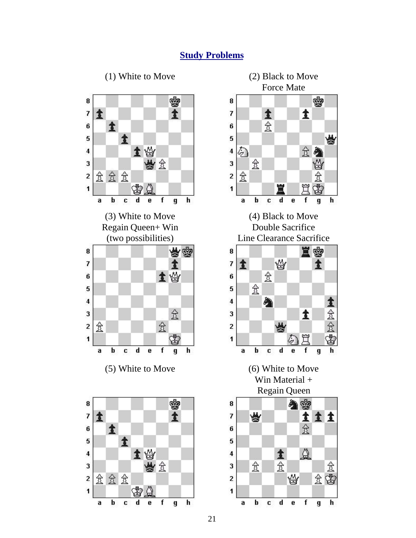## **Study Problems**



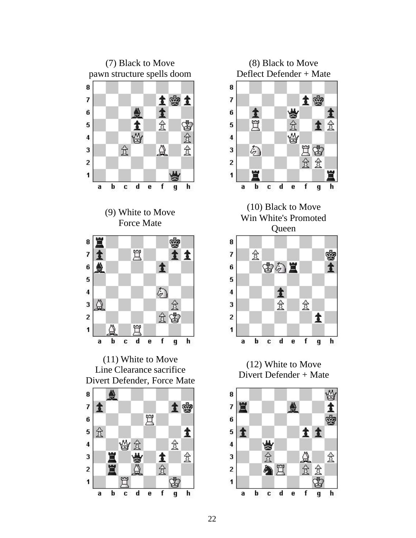

(8) Black to Move Deflect Defender + Mate 8 土密  $\overline{7}$  $\mathbf t$ 罾 Î 6 買 5 贪 ★ 允 ₩  $\overline{\mathbf{4}}$ 耳当 3 ♧ 岔岔  $\overline{c}$ 罝 1 þ d e f h a C  $\mathbf{q}$ (10) Black to Move Win White's Promoted **Queen** 8 会 Ý  $\overline{\mathbf{r}}$ 客夕里  $\mathbf t$ 6 5  $\ddagger$  $\overline{\mathbf{4}}$ 佥 佥 3  $\overline{c}$ Î 1 f þ d e h a c  $\boldsymbol{g}$ (12) White to Move Divert Defender + Mate8 鱼 罝 t 7 **S** 6  $\pm$ **ii** 5 骨  $\overline{\mathbf{4}}$  $\bar{\hat{z}}$  $\Delta$ 金  $\overline{\mathbf{3}}$ 合置 金金  $\overline{\mathbf{c}}$  $\overline{\mathbb{B}}$ 1

d

e

 $\mathbf f$ 

 $\mathbf{q}$ h

a b c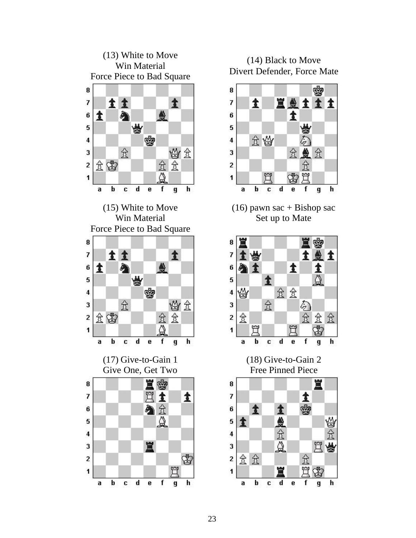

## (14) Black to Move Divert Defender, Force Mate



#### $(16)$  pawn sac + Bishop sac Set up to Mate



(18) Give-to-Gain 2 Free Pinned Piece

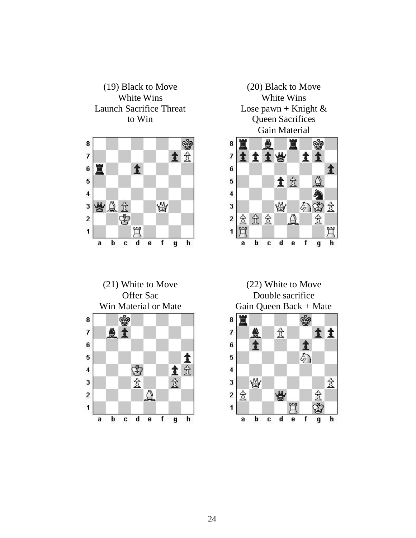





(20) Black to Move White Wins Lose pawn + Knight  $\&$ Queen Sacrifices Gain Material



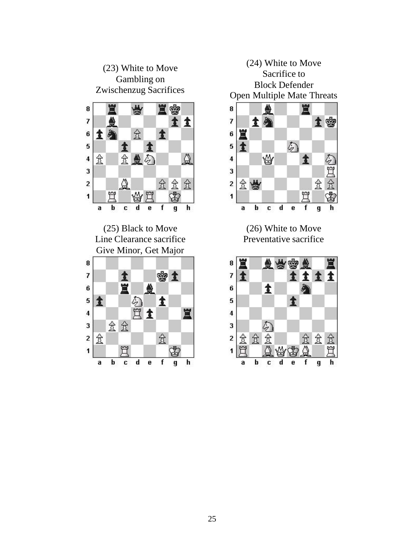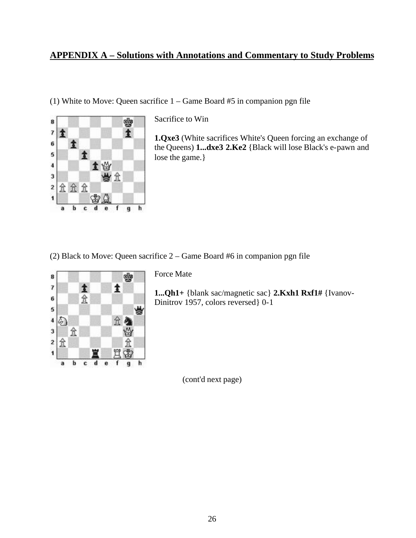## **APPENDIX A – Solutions with Annotations and Commentary to Study Problems**

(1) White to Move: Queen sacrifice  $1 -$ Game Board #5 in companion pgn file



Sacrifice to Win

**1.Qxe3** (White sacrifices White's Queen forcing an exchange of the Queens) **1...dxe3 2.Ke2** {Black will lose Black's e-pawn and lose the game.}

(2) Black to Move: Queen sacrifice 2 – Game Board #6 in companion pgn file



Force Mate

**1...Qh1+** {blank sac/magnetic sac} **2.Kxh1 Rxf1#** {Ivanov-Dinitrov 1957, colors reversed} 0-1

(cont'd next page)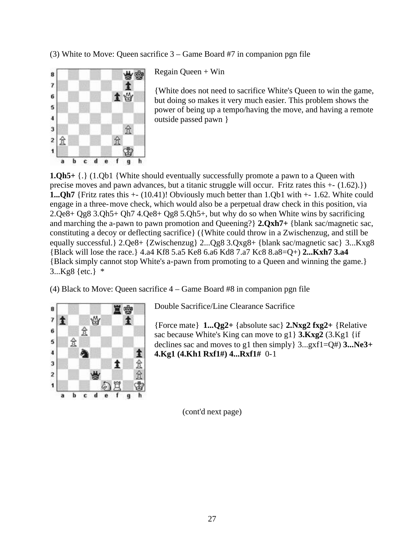(3) White to Move: Queen sacrifice  $3 -$ Game Board #7 in companion pgn file



Regain Queen + Win

{White does not need to sacrifice White's Queen to win the game, but doing so makes it very much easier. This problem shows the power of being up a tempo/having the move, and having a remote outside passed pawn }

**1.Qh5**+ {.} (1.Qb1 {White should eventually successfully promote a pawn to a Queen with precise moves and pawn advances, but a titanic struggle will occur. Fritz rates this +- (1.62).}) **1...Qh7** {Fritz rates this +- (10.41)! Obviously much better than 1.Qb1 with +- 1.62. White could engage in a three-move check, which would also be a perpetual draw check in this position, via 2.Qe8+ Qg8 3.Qh5+ Qh7 4.Qe8+ Qg8 5.Qh5+, but why do so when White wins by sacrificing and marching the a-pawn to pawn promotion and Queening?} **2.Qxh7+** {blank sac/magnetic sac, constituting a decoy or deflecting sacrifice} ({White could throw in a Zwischenzug, and still be equally successful.} 2.Qe8+ {Zwischenzug} 2...Qg8 3.Qxg8+ {blank sac/magnetic sac} 3...Kxg8 {Black will lose the race.} 4.a4 Kf8 5.a5 Ke8 6.a6 Kd8 7.a7 Kc8 8.a8=Q+) **2...Kxh7 3.a4** {Black simply cannot stop White's a-pawn from promoting to a Queen and winning the game.}  $3...Kg8$  {etc.}  $*$ 

(4) Black to Move: Queen sacrifice 4 – Game Board #8 in companion pgn file



Double Sacrifice/Line Clearance Sacrifice

{Force mate} **1...Qg2+** {absolute sac} **2.Nxg2 fxg2+** {Relative sac because White's King can move to g1} **3.Kxg2** (3.Kg1 {if declines sac and moves to g1 then simply} 3...gxf1=Q#) **3...Ne3+ 4.Kg1 (4.Kh1 Rxf1#) 4...Rxf1#** 0-1

(cont'd next page)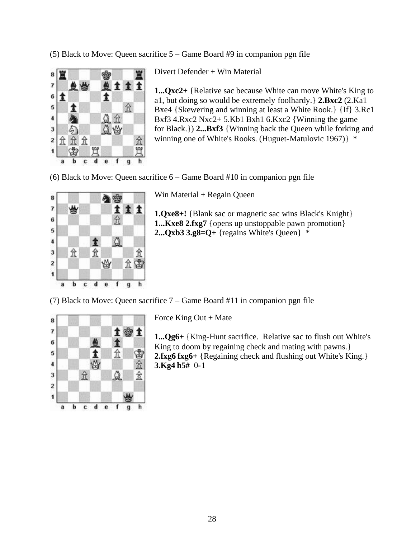(5) Black to Move: Queen sacrifice 5 – Game Board #9 in companion pgn file



Divert Defender + Win Material

**1...Qxc2+** {Relative sac because White can move White's King to a1, but doing so would be extremely foolhardy.} **2.Bxc2** (2.Ka1 Bxe4 {Skewering and winning at least a White Rook.} {If} 3.Rc1 Bxf3 4.Rxc2 Nxc2+ 5.Kb1 Bxh1 6.Kxc2 {Winning the game for Black.}) **2...Bxf3** {Winning back the Queen while forking and winning one of White's Rooks. (Huguet-Matulovic 1967)}  $*$ 

(6) Black to Move: Queen sacrifice  $6 -$ Game Board #10 in companion pgn file



Win Material + Regain Queen

**1.Qxe8+!** {Blank sac or magnetic sac wins Black's Knight} **1...Kxe8 2.fxg7** {opens up unstoppable pawn promotion} **2...Qxb3 3.g8=Q+** {regains White's Queen} \*

(7) Black to Move: Queen sacrifice 7 – Game Board #11 in companion pgn file



Force King  $Out + Mate$ 

**1...Qg6+** {King-Hunt sacrifice. Relative sac to flush out White's King to doom by regaining check and mating with pawns. **2.fxg6 fxg6+** {Regaining check and flushing out White's King.} **3.Kg4 h5#** 0-1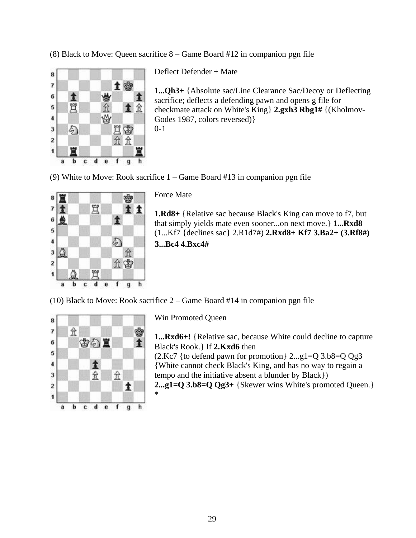(8) Black to Move: Queen sacrifice 8 – Game Board #12 in companion pgn file



Deflect Defender + Mate

**1...Qh3+** {Absolute sac/Line Clearance Sac/Decoy or Deflecting sacrifice; deflects a defending pawn and opens g file for checkmate attack on White's King} **2.gxh3 Rbg1#** {(Kholmov-Godes 1987, colors reversed)} 0-1

(9) White to Move: Rook sacrifice 1 – Game Board #13 in companion pgn file



#### Force Mate

**1.Rd8+** {Relative sac because Black's King can move to f7, but that simply yields mate even sooner...on next move.} **1...Rxd8** (1...Kf7 {declines sac} 2.R1d7#) **2.Rxd8+ Kf7 3.Ba2+ (3.Rf8#) 3...Bc4 4.Bxc4#**

(10) Black to Move: Rook sacrifice 2 – Game Board #14 in companion pgn file

\*



Win Promoted Queen

**1...Rxd6+!** {Relative sac, because White could decline to capture Black's Rook.} If **2.Kxd6** then  $(2.Kc7)$  {to defend pawn for promotion}  $2...g1=0$   $3.b8=0$   $0g3$ 

{White cannot check Black's King, and has no way to regain a tempo and the initiative absent a blunder by Black})

**2...g1=Q 3.b8=Q Qg3+** {Skewer wins White's promoted Queen.}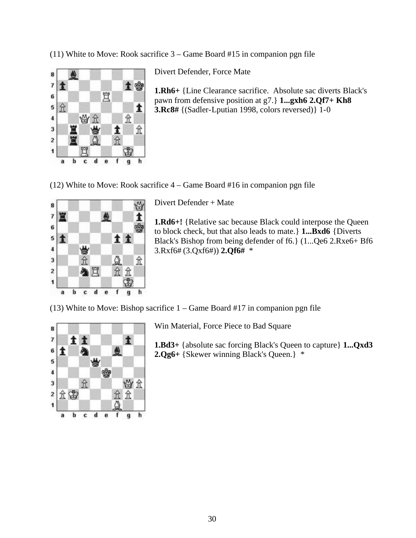(11) White to Move: Rook sacrifice 3 – Game Board #15 in companion pgn file



Divert Defender, Force Mate

**1.Rh6+** {Line Clearance sacrifice. Absolute sac diverts Black's pawn from defensive position at g7.} **1...gxh6 2.Qf7+ Kh8 3.Rc8#** {(Sadler-Lputian 1998, colors reversed)} 1-0

(12) White to Move: Rook sacrifice 4 – Game Board #16 in companion pgn file



Divert Defender + Mate

**1.Rd6+!** {Relative sac because Black could interpose the Queen to block check, but that also leads to mate.} **1...Bxd6** {Diverts Black's Bishop from being defender of f6.} (1...Qe6 2.Rxe6+ Bf6 3.Rxf6# (3.Qxf6#)) **2.Qf6#** \*

(13) White to Move: Bishop sacrifice  $1 -$  Game Board #17 in companion pgn file



Win Material, Force Piece to Bad Square

**1.Bd3+** {absolute sac forcing Black's Queen to capture} **1...Qxd3 2.Qg6+** {Skewer winning Black's Queen.} \*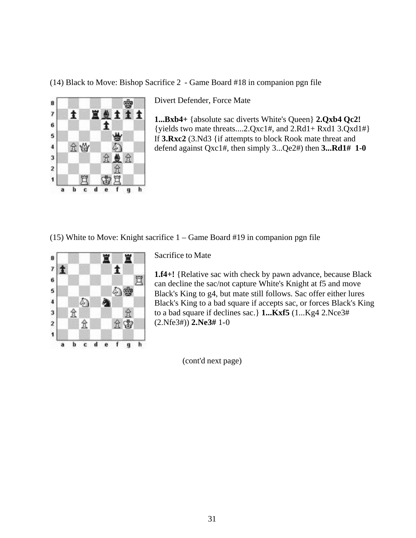(14) Black to Move: Bishop Sacrifice 2 - Game Board #18 in companion pgn file



Divert Defender, Force Mate

**1...Bxb4+** {absolute sac diverts White's Queen} **2.Qxb4 Qc2!** {yields two mate threats....2. $Qxc1\#$ , and  $2.Rd1+Rxd1$  3. $Qxd1\#$ } If **3.Rxc2** (3.Nd3 {if attempts to block Rook mate threat and defend against Qxc1#, then simply 3...Qe2#) then **3...Rd1# 1-0**

(15) White to Move: Knight sacrifice 1 – Game Board #19 in companion pgn file



Sacrifice to Mate

**1.f4+!** {Relative sac with check by pawn advance, because Black can decline the sac/not capture White's Knight at f5 and move Black's King to g4, but mate still follows. Sac offer either lures Black's King to a bad square if accepts sac, or forces Black's King to a bad square if declines sac.} **1...Kxf5** (1...Kg4 2.Nce3# (2.Nfe3#)) **2.Ne3#** 1-0

(cont'd next page)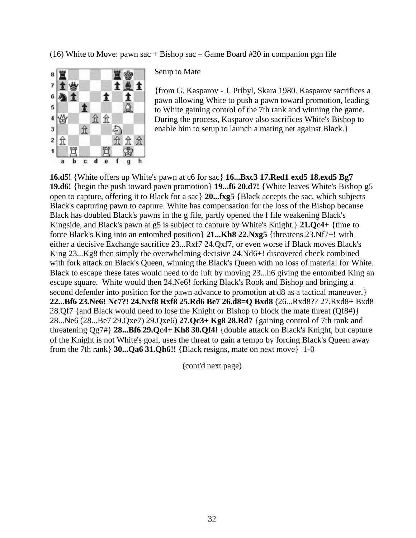(16) White to Move: pawn sac + Bishop sac – Game Board  $#20$  in companion pgn file



Setup to Mate

{from G. Kasparov - J. Pribyl, Skara 1980. Kasparov sacrifices a pawn allowing White to push a pawn toward promotion, leading to White gaining control of the 7th rank and winning the game. During the process, Kasparov also sacrifices White's Bishop to enable him to setup to launch a mating net against Black.}

**16.d5!** {White offers up White's pawn at c6 for sac} **16...Bxc3 17.Red1 exd5 18.exd5 Bg7 19.d6!** {begin the push toward pawn promotion} **19...f6 20.d7!** {White leaves White's Bishop g5 open to capture, offering it to Black for a sac} **20...fxg5** {Black accepts the sac, which subjects Black's capturing pawn to capture. White has compensation for the loss of the Bishop because Black has doubled Black's pawns in the g file, partly opened the f file weakening Black's Kingside, and Black's pawn at g5 is subject to capture by White's Knight.} **21.Qc4+** {time to force Black's King into an entombed position} **21...Kh8 22.Nxg5** {threatens 23.Nf7+! with either a decisive Exchange sacrifice 23...Rxf7 24.Qxf7, or even worse if Black moves Black's King 23...Kg8 then simply the overwhelming decisive 24.Nd6+! discovered check combined with fork attack on Black's Queen, winning the Black's Queen with no loss of material for White. Black to escape these fates would need to do luft by moving 23...h6 giving the entombed King an escape square. White would then 24.Ne6! forking Black's Rook and Bishop and bringing a second defender into position for the pawn advance to promotion at d8 as a tactical maneuver.} **22...Bf6 23.Ne6! Nc7?! 24.Nxf8 Rxf8 25.Rd6 Be7 26.d8=Q Bxd8** (26...Rxd8?? 27.Rxd8+ Bxd8 28.Qf7 {and Black would need to lose the Knight or Bishop to block the mate threat (Qf8#)} 28...Ne6 (28...Be7 29.Qxe7) 29.Qxe6) **27.Qc3+ Kg8 28.Rd7** {gaining control of 7th rank and threatening Qg7#} **28...Bf6 29.Qc4+ Kh8 30.Qf4!** {double attack on Black's Knight, but capture of the Knight is not White's goal, uses the threat to gain a tempo by forcing Black's Queen away from the 7th rank} **30...Qa6 31.Qh6!!** {Black resigns, mate on next move} 1-0

(cont'd next page)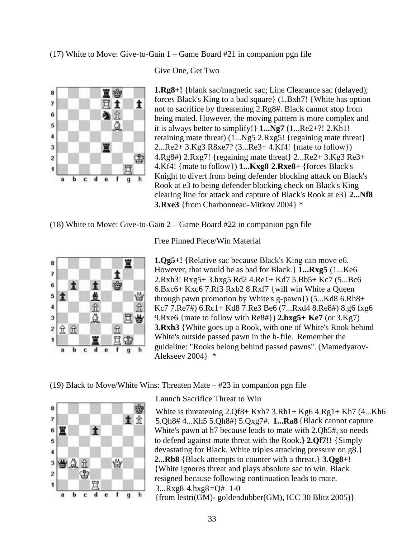(17) White to Move: Give-to-Gain 1 – Game Board #21 in companion pgn file



Give One, Get Two

**1.Rg8+!** {blank sac/magnetic sac; Line Clearance sac (delayed); forces Black's King to a bad square} (1.Bxh7! {White has option not to sacrifice by threatening 2.Rg8#. Black cannot stop from being mated. However, the moving pattern is more complex and it is always better to simplify!} **1...Ng7** (1...Re2+?! 2.Kh1! retaining mate threat)  $(1...Ng5 2.Rxg5!$  {regaining mate threat} 2...Re2+ 3.Kg3 R8xe7? (3...Re3+ 4.Kf4! {mate to follow}) 4.Rg8#) 2.Rxg7! {regaining mate threat} 2...Re2+ 3.Kg3 Re3+ 4.Kf4! {mate to follow}) **1...Kxg8 2.Rxe8+** {forces Black's Knight to divert from being defender blocking attack on Black's Rook at e3 to being defender blocking check on Black's King clearing line for attack and capture of Black's Rook at e3} **2...Nf8 3.Rxe3** {from Charbonneau-Mitkov 2004} \*

(18) White to Move: Give-to-Gain 2 – Game Board #22 in companion pgn file



Free Pinned Piece/Win Material

**1.Qg5+!** {Relative sac because Black's King can move e6. However, that would be as bad for Black.} **1...Rxg5** (1...Ke6 2.Rxh3! Rxg5+ 3.hxg5 Rd2 4.Re1+ Kd7 5.Bb5+ Kc7 (5...Bc6 6.Bxc6+ Kxc6 7.Rf3 Rxb2 8.Rxf7 {will win White a Queen through pawn promotion by White's g-pawn}) (5...Kd8 6.Rh8+ Kc7 7.Re7#) 6.Rc1+ Kd8 7.Re3 Be6 (7...Rxd4 8.Re8#) 8.g6 fxg6 9.Rxe6 {mate to follow with Re8#}) **2.hxg5+ Ke7** (or 3.Kg7) **3.Rxh3** {White goes up a Rook, with one of White's Rook behind White's outside passed pawn in the h-file. Remember the guideline: "Rooks belong behind passed pawns". (Mamedyarov-Alekseev 2004} \*

(19) Black to Move/White Wins: Threaten Mate – #23 in companion pgn file



Launch Sacrifice Threat to Win

**1...Ra8** {Black cannot capture 5.Qh8# 4...Kh5 5.Qh8#) 5.Qxg7#. White's pawn at h7 because leads to mate with 2.0h5#, so needs to defend against mate threat with the Rook**.} 2.Qf7!!** {Simply devastating for Black. White triples attacking pressure on g8.} **2...Rb8** {Black attempts to counter with a threat.} **3.Qg8+!** {White ignores threat and plays absolute sac to win. Black resigned because following continuation leads to mate. 3...Rxg8 4.hxg8=Q# 1-0 White is threatening  $2.0f8 + Kxh7$  3.Rh1+ Kg6 4.Rg1+ Kh7 (4...Kh6) {from lestri(GM)- goldendubber(GM), ICC 30 Blitz 2005)}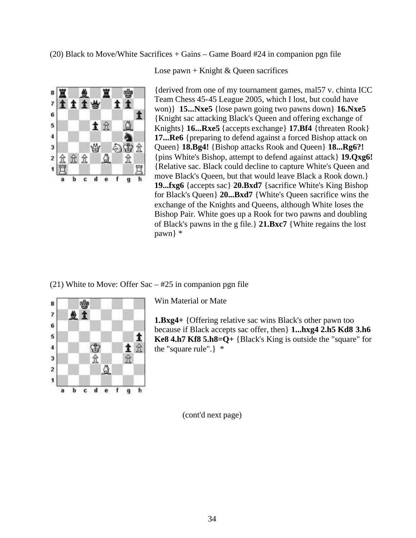(20) Black to Move/White Sacrifices  $+$  Gains  $-$  Game Board #24 in companion pgn file



Lose pawn + Knight  $&$  Queen sacrifices

{derived from one of my tournament games, mal57 v. chinta ICC Team Chess 45-45 League 2005, which I lost, but could have won)} **15...Nxe5** {lose pawn going two pawns down} **16.Nxe5** {Knight sac attacking Black's Queen and offering exchange of Knights { 16...Rxe5 { accepts exchange } 17.Bf4 {threaten Rook } **17...Re6** {preparing to defend against a forced Bishop attack on Queen} **18.Bg4!** {Bishop attacks Rook and Queen} **18...Rg6?!** {pins White's Bishop, attempt to defend against attack} **19.Qxg6!** {Relative sac. Black could decline to capture White's Queen and move Black's Queen, but that would leave Black a Rook down.} **19...fxg6** {accepts sac} **20.Bxd7** {sacrifice White's King Bishop for Black's Queen} **20...Bxd7** {White's Queen sacrifice wins the exchange of the Knights and Queens, although White loses the Bishop Pair. White goes up a Rook for two pawns and doubling of Black's pawns in the g file.} **21.Bxc7** {White regains the lost pawn} \*

(21) White to Move: Offer Sac  $-$  #25 in companion pgn file



Win Material or Mate

**1.Bxg4+** {Offering relative sac wins Black's other pawn too because if Black accepts sac offer, then} **1...hxg4 2.h5 Kd8 3.h6 Ke8 4.h7 Kf8 5.h8=Q+** {Black's King is outside the "square" for the "square rule".} \*

(cont'd next page)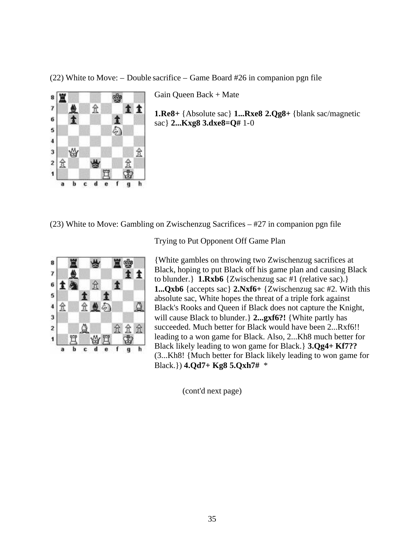(22) White to Move: – Double sacrifice – Game Board #26 in companion pgn file



Gain Queen Back + Mate

**1.Re8+** {Absolute sac} **1...Rxe8 2.Qg8+** {blank sac/magnetic sac} **2...Kxg8 3.dxe8=Q#** 1-0

(23) White to Move: Gambling on Zwischenzug Sacrifices – #27 in companion pgn file



Trying to Put Opponent Off Game Plan

{White gambles on throwing two Zwischenzug sacrifices at Black, hoping to put Black off his game plan and causing Black to blunder.} **1.Rxb6** {Zwischenzug sac #1 (relative sac).} **1...Qxb6** {accepts sac} **2.Nxf6+** {Zwischenzug sac #2. With this absolute sac, White hopes the threat of a triple fork against Black's Rooks and Queen if Black does not capture the Knight, will cause Black to blunder.} **2...gxf6?!** {White partly has succeeded. Much better for Black would have been 2...Rxf6!! leading to a won game for Black. Also, 2...Kh8 much better for Black likely leading to won game for Black.} **3.Qg4+ Kf7??** (3...Kh8! {Much better for Black likely leading to won game for Black.}) **4.Qd7+ Kg8 5.Qxh7#** \*

(cont'd next page)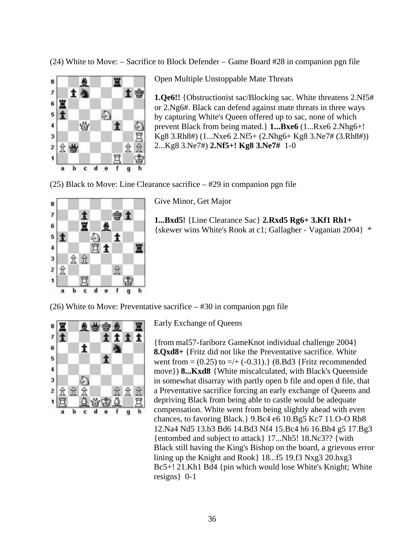(24) White to Move: – Sacrifice to Block Defender – Game Board #28 in companion pgn file



Open Multiple Unstoppable Mate Threats

**1.Qe6!!** {Obstructionist sac/Blocking sac. White threatens 2.Nf5# or 2.Ng6#. Black can defend against mate threats in three ways by capturing White's Queen offered up to sac, none of which prevent Black from being mated.} **1...Bxe6** (1...Rxe6 2.Nhg6+! Kg8 3.Rh8#) (1...Nxe6 2.Nf5+ (2.Nhg6+ Kg8 3.Ne7# (3.Rh8#)) 2...Kg8 3.Ne7#) **2.Nf5+! Kg8 3.Ne7#** 1-0

(25) Black to Move: Line Clearance sacrifice – #29 in companion pgn file



Give Minor, Get Major

**1...Bxd5!** {Line Clearance Sac} **2.Rxd5 Rg6+ 3.Kf1 Rh1+** {skewer wins White's Rook at c1; Gallagher - Vaganian 2004} \*

(26) White to Move: Preventative sacrifice – #30 in companion pgn file



Early Exchange of Queens

{from mal57-fariborz GameKnot individual challenge 2004} **8.Qxd8+** {Fritz did not like the Preventative sacrifice. White went from =  $(0.25)$  to =/+  $(-0.31)$ .  $(8.8d3$  {Fritz recommended move}) **8...Kxd8** {White miscalculated, with Black's Queenside in somewhat disarray with partly open b file and open d file, that a Preventative sacrifice forcing an early exchange of Queens and depriving Black from being able to castle would be adequate compensation. White went from being slightly ahead with even chances, to favoring Black.} 9.Bc4 e6 10.Bg5 Kc7 11.O-O Rb8 12.Na4 Nd5 13.b3 Bd6 14.Bd3 Nf4 15.Bc4 h6 16.Bh4 g5 17.Bg3 {entombed and subject to attack} 17...Nh5! 18.Nc3?? {with Black still having the King's Bishop on the board, a grievous error lining up the Knight and Rook} 18...f5 19.f3 Nxg3 20.hxg3 Bc5+! 21.Kh1 Bd4 {pin which would lose White's Knight; White resigns} 0-1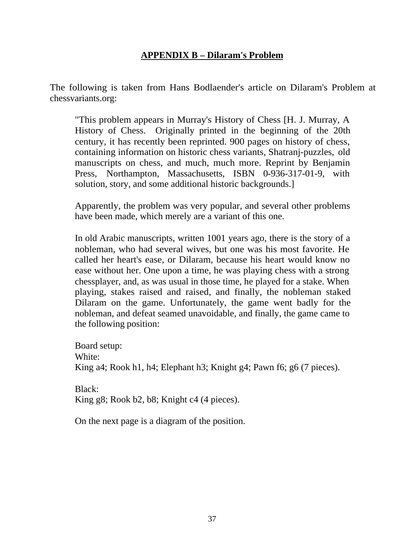## **APPENDIX B – Dilaram's Problem**

The following is taken from Hans Bodlaender's article on Dilaram's Problem at chessvariants.org:

"This problem appears in Murray's History of Chess [H. J. Murray, A History of Chess. Originally printed in the beginning of the 20th century, it has recently been reprinted. 900 pages on history of chess, containing information on historic chess variants, Shatranj-puzzles, old manuscripts on chess, and much, much more. Reprint by Benjamin Press, Northampton, Massachusetts, ISBN 0-936-317-01-9, with solution, story, and some additional historic backgrounds.]

Apparently, the problem was very popular, and several other problems have been made, which merely are a variant of this one.

In old Arabic manuscripts, written 1001 years ago, there is the story of a nobleman, who had several wives, but one was his most favorite. He called her heart's ease, or Dilaram, because his heart would know no ease without her. One upon a time, he was playing chess with a strong chessplayer, and, as was usual in those time, he played for a stake. When playing, stakes raised and raised, and finally, the nobleman staked Dilaram on the game. Unfortunately, the game went badly for the nobleman, and defeat seamed unavoidable, and finally, the game came to the following position:

Board setup: White: King a4; Rook h1, h4; Elephant h3; Knight g4; Pawn f6; g6 (7 pieces).

Black: King g8; Rook b2, b8; Knight c4 (4 pieces).

On the next page is a diagram of the position.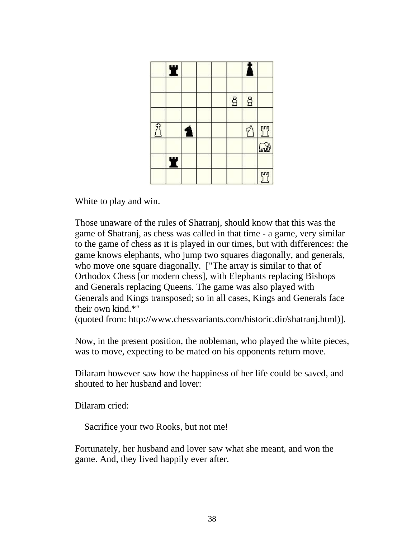| X |   |             | Ā       |                         |
|---|---|-------------|---------|-------------------------|
|   |   | $\tilde{B}$ | $\beta$ |                         |
|   | 1 |             | 9       | 門                       |
| X |   |             |         | $\overline{\mathbb{Q}}$ |
|   |   |             |         | <b>Ln</b> ù             |

White to play and win.

Those unaware of the rules of Shatranj, should know that this was the game of Shatranj, as chess was called in that time - a game, very similar to the game of chess as it is played in our times, but with differences: the game knows elephants, who jump two squares diagonally, and generals, who move one square diagonally. ["The array is similar to that of Orthodox Chess [or modern chess], with Elephants replacing Bishops and Generals replacing Queens. The game was also played with Generals and Kings transposed; so in all cases, Kings and Generals face their own kind.\*"

(quoted from: http://www.chessvariants.com/historic.dir/shatranj.html)].

Now, in the present position, the nobleman, who played the white pieces, was to move, expecting to be mated on his opponents return move.

Dilaram however saw how the happiness of her life could be saved, and shouted to her husband and lover:

Dilaram cried:

Sacrifice your two Rooks, but not me!

Fortunately, her husband and lover saw what she meant, and won the game. And, they lived happily ever after.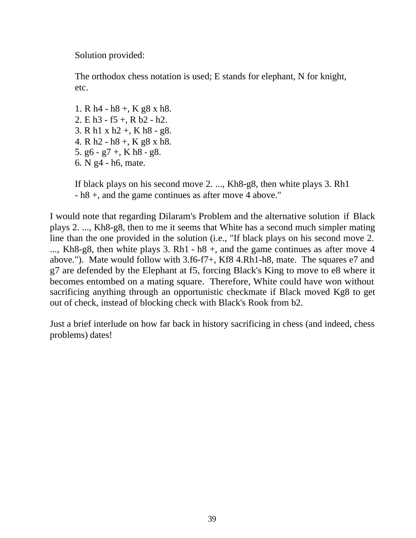Solution provided:

The orthodox chess notation is used; E stands for elephant, N for knight, etc.

1. R  $h4 - h8 + K g8xh8$ . 2. E h3 - f5 +, R b2 - h2. 3. R h1 x h2 +, K h8 - g8. 4. R  $h2 - h8 + K g8xh8$ . 5. g6 - g7 +, K  $h8 - g8$ . 6. N g4 - h6, mate.

If black plays on his second move 2. ..., Kh8-g8, then white plays 3. Rh1 - h8 +, and the game continues as after move 4 above."

I would note that regarding Dilaram's Problem and the alternative solution if Black plays 2. ..., Kh8-g8, then to me it seems that White has a second much simpler mating line than the one provided in the solution (i.e., "If black plays on his second move 2.  $...,$  Kh8-g8, then white plays 3. Rh1 - h8 +, and the game continues as after move 4 above."). Mate would follow with 3.f6-f7+, Kf8 4.Rh1-h8, mate. The squares e7 and g7 are defended by the Elephant at f5, forcing Black's King to move to e8 where it becomes entombed on a mating square. Therefore, White could have won without sacrificing anything through an opportunistic checkmate if Black moved Kg8 to get out of check, instead of blocking check with Black's Rook from b2.

Just a brief interlude on how far back in history sacrificing in chess (and indeed, chess problems) dates!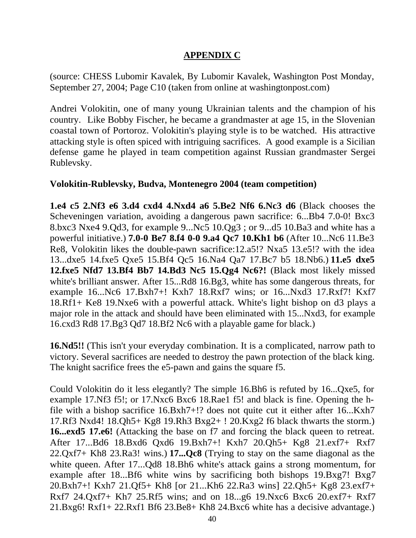# **APPENDIX C**

(source: CHESS Lubomir Kavalek, By Lubomir Kavalek, Washington Post Monday, September 27, 2004; Page C10 (taken from online at washingtonpost.com)

Andrei Volokitin, one of many young Ukrainian talents and the champion of his country. Like Bobby Fischer, he became a grandmaster at age 15, in the Slovenian coastal town of Portoroz. Volokitin's playing style is to be watched. His attractive attacking style is often spiced with intriguing sacrifices. A good example is a Sicilian defense game he played in team competition against Russian grandmaster Sergei Rublevsky.

### **Volokitin-Rublevsky, Budva, Montenegro 2004 (team competition)**

**1.e4 c5 2.Nf3 e6 3.d4 cxd4 4.Nxd4 a6 5.Be2 Nf6 6.Nc3 d6** (Black chooses the Scheveningen variation, avoiding a dangerous pawn sacrifice: 6...Bb4 7.0-0! Bxc3 8.bxc3 Nxe4 9.Qd3, for example 9...Nc5 10.Qg3 ; or 9...d5 10.Ba3 and white has a powerful initiative.) **7.0-0 Be7 8.f4 0-0 9.a4 Qc7 10.Kh1 b6** (After 10...Nc6 11.Be3 Re8, Volokitin likes the double-pawn sacrifice:12.a5!? Nxa5 13.e5!? with the idea 13...dxe5 14.fxe5 Qxe5 15.Bf4 Qc5 16.Na4 Qa7 17.Bc7 b5 18.Nb6.) **11.e5 dxe5 12.fxe5 Nfd7 13.Bf4 Bb7 14.Bd3 Nc5 15.Qg4 Nc6?!** (Black most likely missed white's brilliant answer. After 15...Rd8 16.Bg3, white has some dangerous threats, for example 16...Nc6 17.Bxh7+! Kxh7 18.Rxf7 wins; or 16...Nxd3 17.Rxf7! Kxf7 18.Rf1+ Ke8 19.Nxe6 with a powerful attack. White's light bishop on d3 plays a major role in the attack and should have been eliminated with 15...Nxd3, for example 16.cxd3 Rd8 17.Bg3 Qd7 18.Bf2 Nc6 with a playable game for black.)

**16.Nd5!!** (This isn't your everyday combination. It is a complicated, narrow path to victory. Several sacrifices are needed to destroy the pawn protection of the black king. The knight sacrifice frees the e5-pawn and gains the square f5.

Could Volokitin do it less elegantly? The simple 16.Bh6 is refuted by 16...Qxe5, for example 17.Nf3 f5!; or 17.Nxc6 Bxc6 18.Rae1 f5! and black is fine. Opening the hfile with a bishop sacrifice 16.Bxh7+!? does not quite cut it either after 16...Kxh7 17.Rf3 Nxd4! 18.Qh5+ Kg8 19.Rh3 Bxg2+ ! 20.Kxg2 f6 black thwarts the storm.) **16...exd5 17.e6!** (Attacking the base on f7 and forcing the black queen to retreat. After 17...Bd6 18.Bxd6 Qxd6 19.Bxh7+! Kxh7 20.Qh5+ Kg8 21.exf7+ Rxf7 22.Qxf7+ Kh8 23.Ra3! wins.) **17...Qc8** (Trying to stay on the same diagonal as the white queen. After 17...Od8 18.Bh6 white's attack gains a strong momentum, for example after 18...Bf6 white wins by sacrificing both bishops 19.Bxg7! Bxg7 20.Bxh7+! Kxh7 21.Qf5+ Kh8 [or 21...Kh6 22.Ra3 wins] 22.Qh5+ Kg8 23.exf7+ Rxf7 24.Qxf7+ Kh7 25.Rf5 wins; and on 18...g6 19.Nxc6 Bxc6 20.exf7+ Rxf7 21.Bxg6! Rxf1+ 22.Rxf1 Bf6 23.Be8+ Kh8 24.Bxc6 white has a decisive advantage.)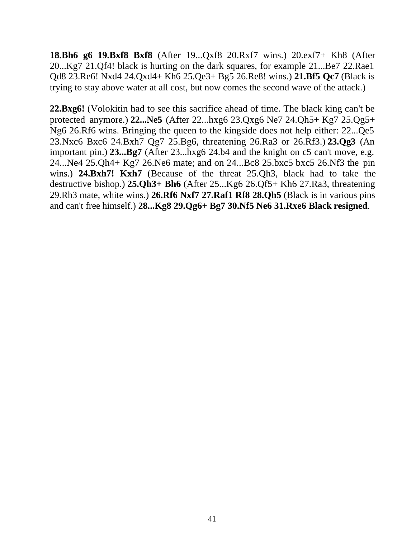**18.Bh6 g6 19.Bxf8 Bxf8** (After 19...Qxf8 20.Rxf7 wins.) 20.exf7+ Kh8 (After 20...Kg7 21.Qf4! black is hurting on the dark squares, for example 21...Be7 22.Rae1 Qd8 23.Re6! Nxd4 24.Qxd4+ Kh6 25.Qe3+ Bg5 26.Re8! wins.) **21.Bf5 Qc7** (Black is trying to stay above water at all cost, but now comes the second wave of the attack.)

**22.Bxg6!** (Volokitin had to see this sacrifice ahead of time. The black king can't be protected anymore.) **22...Ne5** (After 22...hxg6 23.Qxg6 Ne7 24.Qh5+ Kg7 25.Qg5+ Ng6 26.Rf6 wins. Bringing the queen to the kingside does not help either: 22...Qe5 23.Nxc6 Bxc6 24.Bxh7 Qg7 25.Bg6, threatening 26.Ra3 or 26.Rf3.) **23.Qg3** (An important pin.) **23...Bg7** (After 23...hxg6 24.b4 and the knight on c5 can't move, e.g. 24...Ne4 25.Qh4+ Kg7 26.Ne6 mate; and on 24...Bc8 25.bxc5 bxc5 26.Nf3 the pin wins.) **24.Bxh7! Kxh7** (Because of the threat 25.Qh3, black had to take the destructive bishop.) **25.Qh3+ Bh6** (After 25...Kg6 26.Qf5+ Kh6 27.Ra3, threatening 29.Rh3 mate, white wins.) **26.Rf6 Nxf7 27.Raf1 Rf8 28.Qh5** (Black is in various pins and can't free himself.) **28...Kg8 29.Qg6+ Bg7 30.Nf5 Ne6 31.Rxe6 Black resigned**.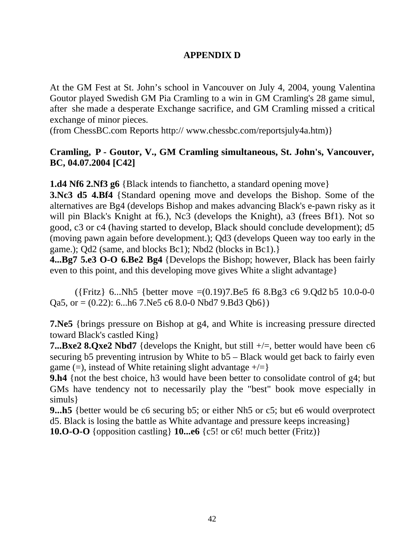# **APPENDIX D**

At the GM Fest at St. John's school in Vancouver on July 4, 2004, young Valentina Goutor played Swedish GM Pia Cramling to a win in GM Cramling's 28 game simul, after she made a desperate Exchange sacrifice, and GM Cramling missed a critical exchange of minor pieces.

(from ChessBC.com Reports http:// www.chessbc.com/reportsjuly4a.htm)}

## **Cramling, P - Goutor, V., GM Cramling simultaneous, St. John's, Vancouver, BC, 04.07.2004 [C42]**

**1.d4 Nf6 2.Nf3 g6** {Black intends to fianchetto, a standard opening move}

**3.Nc3 d5 4.Bf4** {Standard opening move and develops the Bishop. Some of the alternatives are Bg4 (develops Bishop and makes advancing Black's e-pawn risky as it will pin Black's Knight at f6.), Nc3 (develops the Knight), a3 (frees Bf1). Not so good, c3 or c4 (having started to develop, Black should conclude development); d5 (moving pawn again before development.); Qd3 (develops Queen way too early in the game.); Qd2 (same, and blocks Bc1); Nbd2 (blocks in Bc1).}

**4...Bg7 5.e3 O-O 6.Be2 Bg4** {Develops the Bishop; however, Black has been fairly even to this point, and this developing move gives White a slight advantage}

( $\{Fritz\}$  6...Nh5  $\{better move = (0.19)7.Be5 f6 8.Bg3 c6 9.Qd2 b5 10.0-0-0$ Qa5, or =  $(0.22)$ : 6...h6 7.Ne5 c6 8.0-0 Nbd7 9.Bd3 Qb6})

**7.Ne5** {brings pressure on Bishop at g4, and White is increasing pressure directed toward Black's castled King}

**7...Bxe2 8.Qxe2 Nbd7** {develops the Knight, but still  $+/-$ , better would have been c6 securing b5 preventing intrusion by White to b5 – Black would get back to fairly even game (=), instead of White retaining slight advantage  $+/-$ }

**9.h4** {not the best choice, h3 would have been better to consolidate control of g4; but GMs have tendency not to necessarily play the "best" book move especially in simuls}

**9...h5** {better would be c6 securing b5; or either Nh5 or c5; but e6 would overprotect d5. Black is losing the battle as White advantage and pressure keeps increasing}

**10.O-O-O** {opposition castling} **10...e6** {c5! or c6! much better (Fritz)}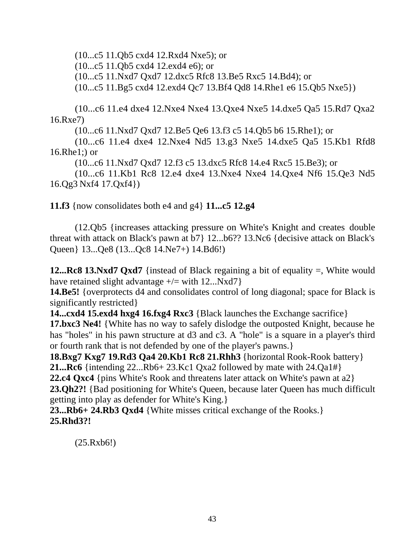(10...c5 11.Qb5 cxd4 12.Rxd4 Nxe5); or

(10...c5 11.Qb5 cxd4 12.exd4 e6); or

(10...c5 11.Nxd7 Qxd7 12.dxc5 Rfc8 13.Be5 Rxc5 14.Bd4); or

(10...c5 11.Bg5 cxd4 12.exd4 Qc7 13.Bf4 Qd8 14.Rhe1 e6 15.Qb5 Nxe5})

(10...c6 11.e4 dxe4 12.Nxe4 Nxe4 13.Qxe4 Nxe5 14.dxe5 Qa5 15.Rd7 Qxa2 16.Rxe7)

(10...c6 11.Nxd7 Qxd7 12.Be5 Qe6 13.f3 c5 14.Qb5 b6 15.Rhe1); or

(10...c6 11.e4 dxe4 12.Nxe4 Nd5 13.g3 Nxe5 14.dxe5 Qa5 15.Kb1 Rfd8 16.Rhe1;) or

(10...c6 11.Nxd7 Qxd7 12.f3 c5 13.dxc5 Rfc8 14.e4 Rxc5 15.Be3); or

(10...c6 11.Kb1 Rc8 12.e4 dxe4 13.Nxe4 Nxe4 14.Qxe4 Nf6 15.Qe3 Nd5 16.Qg3 Nxf4 17.Qxf4})

**11.f3** {now consolidates both e4 and g4} **11...c5 12.g4**

(12.Qb5 {increases attacking pressure on White's Knight and creates double threat with attack on Black's pawn at b7} 12...b6?? 13.Nc6 {decisive attack on Black's Queen} 13...Qe8 (13...Qc8 14.Ne7+) 14.Bd6!)

**12...Rc8 13.Nxd7 Qxd7** {instead of Black regaining a bit of equality =, White would have retained slight advantage  $\pm$ /= with 12...Nxd7}

**14.Be5!** {overprotects d4 and consolidates control of long diagonal; space for Black is significantly restricted}

**14...cxd4 15.exd4 hxg4 16.fxg4 Rxc3** {Black launches the Exchange sacrifice}

**17.bxc3 Ne4!** {White has no way to safely dislodge the outposted Knight, because he has "holes" in his pawn structure at d3 and c3. A "hole" is a square in a player's third or fourth rank that is not defended by one of the player's pawns.}

**18.Bxg7 Kxg7 19.Rd3 Qa4 20.Kb1 Rc8 21.Rhh3** {horizontal Rook-Rook battery} **21...Rc6** {intending 22...Rb6+ 23.Kc1 Qxa2 followed by mate with 24.Qa1#}

**22.c4 Qxc4** {pins White's Rook and threatens later attack on White's pawn at a2}

**23.Qh2?!** {Bad positioning for White's Queen, because later Queen has much difficult getting into play as defender for White's King.}

**23...Rb6+ 24.Rb3 Qxd4** {White misses critical exchange of the Rooks.} **25.Rhd3?!**

(25.Rxb6!)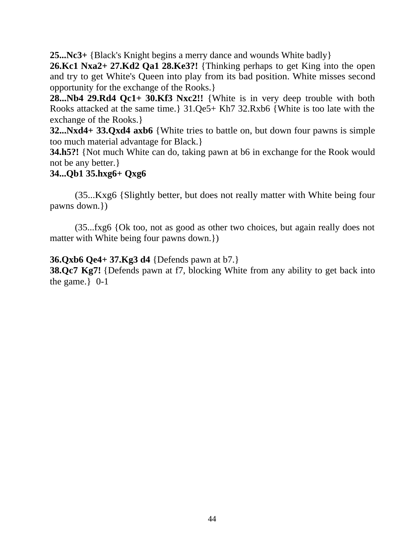**25...Nc3+** {Black's Knight begins a merry dance and wounds White badly}

**26.Kc1 Nxa2+ 27.Kd2 Qa1 28.Ke3?!** {Thinking perhaps to get King into the open and try to get White's Queen into play from its bad position. White misses second opportunity for the exchange of the Rooks.}

**28...Nb4 29.Rd4 Qc1+ 30.Kf3 Nxc2!!** {White is in very deep trouble with both Rooks attacked at the same time.} 31.Qe5+ Kh7 32.Rxb6 {White is too late with the exchange of the Rooks.}

**32...Nxd4+ 33.Qxd4 axb6** {White tries to battle on, but down four pawns is simple too much material advantage for Black.}

**34.h5?!** {Not much White can do, taking pawn at b6 in exchange for the Rook would not be any better.}

## **34...Qb1 35.hxg6+ Qxg6**

(35...Kxg6 {Slightly better, but does not really matter with White being four pawns down.})

(35...fxg6 {Ok too, not as good as other two choices, but again really does not matter with White being four pawns down.})

# **36.Qxb6 Qe4+ 37.Kg3 d4** {Defends pawn at b7.}

**38.Qc7 Kg7!** {Defends pawn at f7, blocking White from any ability to get back into the game. $\}$  0-1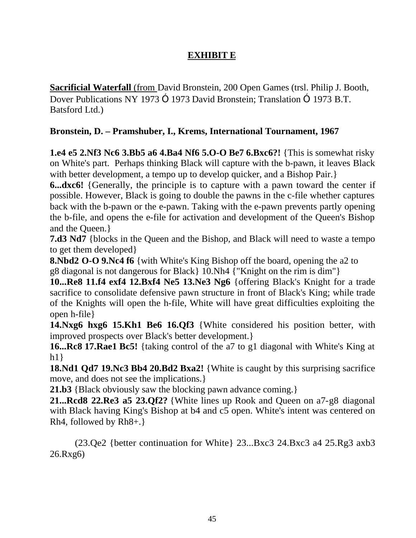# **EXHIBIT E**

**Sacrificial Waterfall** (from David Bronstein, 200 Open Games (trsl. Philip J. Booth, Dover Publications NY 1973 © 1973 David Bronstein; Translation © 1973 B.T. Batsford Ltd.)

# **Bronstein, D. – Pramshuber, I., Krems, International Tournament, 1967**

**1.e4 e5 2.Nf3 Nc6 3.Bb5 a6 4.Ba4 Nf6 5.O-O Be7 6.Bxc6?!** {This is somewhat risky on White's part. Perhaps thinking Black will capture with the b-pawn, it leaves Black with better development, a tempo up to develop quicker, and a Bishop Pair.}

**6...dxc6!** {Generally, the principle is to capture with a pawn toward the center if possible. However, Black is going to double the pawns in the c-file whether captures back with the b-pawn or the e-pawn. Taking with the e-pawn prevents partly opening the b-file, and opens the e-file for activation and development of the Queen's Bishop and the Queen.}

**7.d3 Nd7** {blocks in the Queen and the Bishop, and Black will need to waste a tempo to get them developed}

**8.Nbd2 O-O 9.Nc4 f6** {with White's King Bishop off the board, opening the a2 to g8 diagonal is not dangerous for Black} 10.Nh4 {"Knight on the rim is dim"}

**10...Re8 11.f4 exf4 12.Bxf4 Ne5 13.Ne3 Ng6** {offering Black's Knight for a trade sacrifice to consolidate defensive pawn structure in front of Black's King; while trade of the Knights will open the h-file, White will have great difficulties exploiting the open h-file}

**14.Nxg6 hxg6 15.Kh1 Be6 16.Qf3** {White considered his position better, with improved prospects over Black's better development.}

**16...Rc8 17.Rae1 Bc5!** {taking control of the a7 to g1 diagonal with White's King at h1}

**18.Nd1 Qd7 19.Nc3 Bb4 20.Bd2 Bxa2!** {White is caught by this surprising sacrifice move, and does not see the implications.}

**21.b3** {Black obviously saw the blocking pawn advance coming.}

**21...Rcd8 22.Re3 a5 23.Qf2?** {White lines up Rook and Queen on a7-g8 diagonal with Black having King's Bishop at b4 and c5 open. White's intent was centered on Rh4, followed by Rh8+.}

 $(23.0e2)$  {better continuation for White}  $23...Bxc3$   $24.Bxc3$  a4  $25.Rg3$  axb3 26.Rxg6)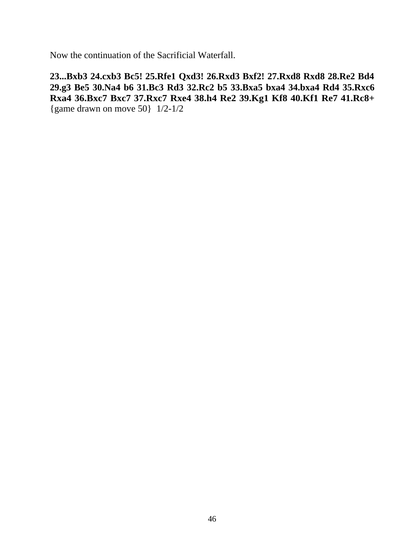Now the continuation of the Sacrificial Waterfall.

**23...Bxb3 24.cxb3 Bc5! 25.Rfe1 Qxd3! 26.Rxd3 Bxf2! 27.Rxd8 Rxd8 28.Re2 Bd4 29.g3 Be5 30.Na4 b6 31.Bc3 Rd3 32.Rc2 b5 33.Bxa5 bxa4 34.bxa4 Rd4 35.Rxc6 Rxa4 36.Bxc7 Bxc7 37.Rxc7 Rxe4 38.h4 Re2 39.Kg1 Kf8 40.Kf1 Re7 41.Rc8+** {game drawn on move 50}  $1/2-1/2$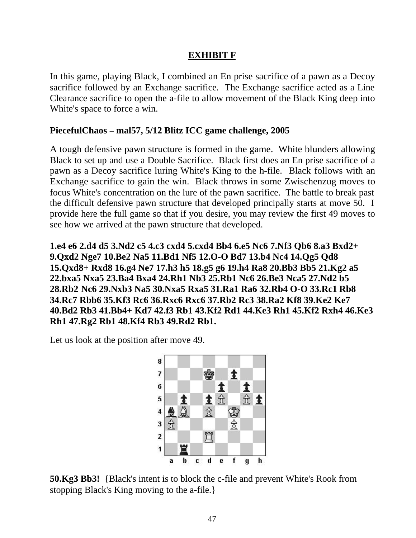## **EXHIBIT F**

In this game, playing Black, I combined an En prise sacrifice of a pawn as a Decoy sacrifice followed by an Exchange sacrifice. The Exchange sacrifice acted as a Line Clearance sacrifice to open the a-file to allow movement of the Black King deep into White's space to force a win.

# **PiecefulChaos – mal57, 5/12 Blitz ICC game challenge, 2005**

A tough defensive pawn structure is formed in the game. White blunders allowing Black to set up and use a Double Sacrifice. Black first does an En prise sacrifice of a pawn as a Decoy sacrifice luring White's King to the h-file. Black follows with an Exchange sacrifice to gain the win. Black throws in some Zwischenzug moves to focus White's concentration on the lure of the pawn sacrifice. The battle to break past the difficult defensive pawn structure that developed principally starts at move 50. I provide here the full game so that if you desire, you may review the first 49 moves to see how we arrived at the pawn structure that developed.

**1.e4 e6 2.d4 d5 3.Nd2 c5 4.c3 cxd4 5.cxd4 Bb4 6.e5 Nc6 7.Nf3 Qb6 8.a3 Bxd2+ 9.Qxd2 Nge7 10.Be2 Na5 11.Bd1 Nf5 12.O-O Bd7 13.b4 Nc4 14.Qg5 Qd8 15.Qxd8+ Rxd8 16.g4 Ne7 17.h3 h5 18.g5 g6 19.h4 Ra8 20.Bb3 Bb5 21.Kg2 a5 22.bxa5 Nxa5 23.Ba4 Bxa4 24.Rh1 Nb3 25.Rb1 Nc6 26.Be3 Nca5 27.Nd2 b5 28.Rb2 Nc6 29.Nxb3 Na5 30.Nxa5 Rxa5 31.Ra1 Ra6 32.Rb4 O-O 33.Rc1 Rb8 34.Rc7 Rbb6 35.Kf3 Rc6 36.Rxc6 Rxc6 37.Rb2 Rc3 38.Ra2 Kf8 39.Ke2 Ke7 40.Bd2 Rb3 41.Bb4+ Kd7 42.f3 Rb1 43.Kf2 Rd1 44.Ke3 Rh1 45.Kf2 Rxh4 46.Ke3 Rh1 47.Rg2 Rb1 48.Kf4 Rb3 49.Rd2 Rb1.**

Let us look at the position after move 49.



**50.Kg3 Bb3!** {Black's intent is to block the c-file and prevent White's Rook from stopping Black's King moving to the a-file.}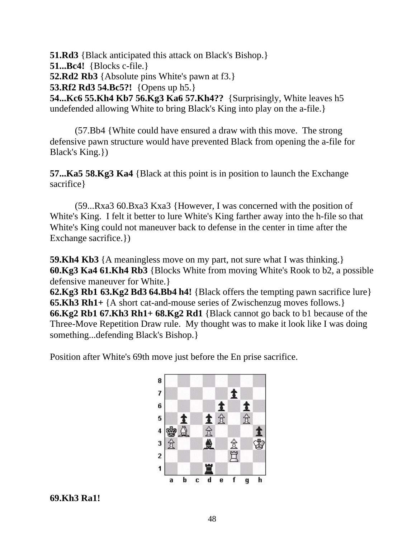**51.Rd3** {Black anticipated this attack on Black's Bishop.}

**51...Bc4!** {Blocks c-file.}

**52.Rd2 Rb3** {Absolute pins White's pawn at f3.}

**53.Rf2 Rd3 54.Bc5?!** {Opens up h5.}

**54...Kc6 55.Kh4 Kb7 56.Kg3 Ka6 57.Kh4??** {Surprisingly, White leaves h5 undefended allowing White to bring Black's King into play on the a-file.}

(57.Bb4 {White could have ensured a draw with this move. The strong defensive pawn structure would have prevented Black from opening the a-file for Black's King.})

**57...Ka5 58.Kg3 Ka4** {Black at this point is in position to launch the Exchange sacrifice}

(59...Rxa3 60.Bxa3 Kxa3 {However, I was concerned with the position of White's King. I felt it better to lure White's King farther away into the h-file so that White's King could not maneuver back to defense in the center in time after the Exchange sacrifice.}

**59.Kh4 Kb3** {A meaningless move on my part, not sure what I was thinking.} **60.Kg3 Ka4 61.Kh4 Rb3** {Blocks White from moving White's Rook to b2, a possible defensive maneuver for White.}

**62.Kg3 Rb1 63.Kg2 Bd3 64.Bb4 h4!** {Black offers the tempting pawn sacrifice lure} **65.Kh3 Rh1+** {A short cat-and-mouse series of Zwischenzug moves follows.} **66.Kg2 Rb1 67.Kh3 Rh1+ 68.Kg2 Rd1** {Black cannot go back to b1 because of the Three-Move Repetition Draw rule. My thought was to make it look like I was doing something...defending Black's Bishop.}

Position after White's 69th move just before the En prise sacrifice.



**69.Kh3 Ra1!**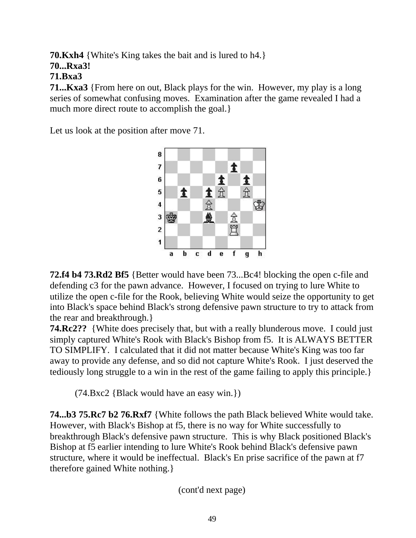**70.Kxh4** {White's King takes the bait and is lured to h4.} **70...Rxa3! 71.Bxa3**

**71...Kxa3** {From here on out, Black plays for the win. However, my play is a long series of somewhat confusing moves. Examination after the game revealed I had a much more direct route to accomplish the goal.}

Let us look at the position after move 71.



**72.f4 b4 73.Rd2 Bf5** {Better would have been 73...Bc4! blocking the open c-file and defending c3 for the pawn advance. However, I focused on trying to lure White to utilize the open c-file for the Rook, believing White would seize the opportunity to get into Black's space behind Black's strong defensive pawn structure to try to attack from the rear and breakthrough.}

**74.Rc2??** {White does precisely that, but with a really blunderous move. I could just simply captured White's Rook with Black's Bishop from f5. It is ALWAYS BETTER TO SIMPLIFY. I calculated that it did not matter because White's King was too far away to provide any defense, and so did not capture White's Rook. I just deserved the tediously long struggle to a win in the rest of the game failing to apply this principle.}

(74.Bxc2 {Black would have an easy win.})

**74...b3 75.Rc7 b2 76.Rxf7** {White follows the path Black believed White would take. However, with Black's Bishop at f5, there is no way for White successfully to breakthrough Black's defensive pawn structure. This is why Black positioned Black's Bishop at f5 earlier intending to lure White's Rook behind Black's defensive pawn structure, where it would be ineffectual. Black's En prise sacrifice of the pawn at f7 therefore gained White nothing.}

(cont'd next page)